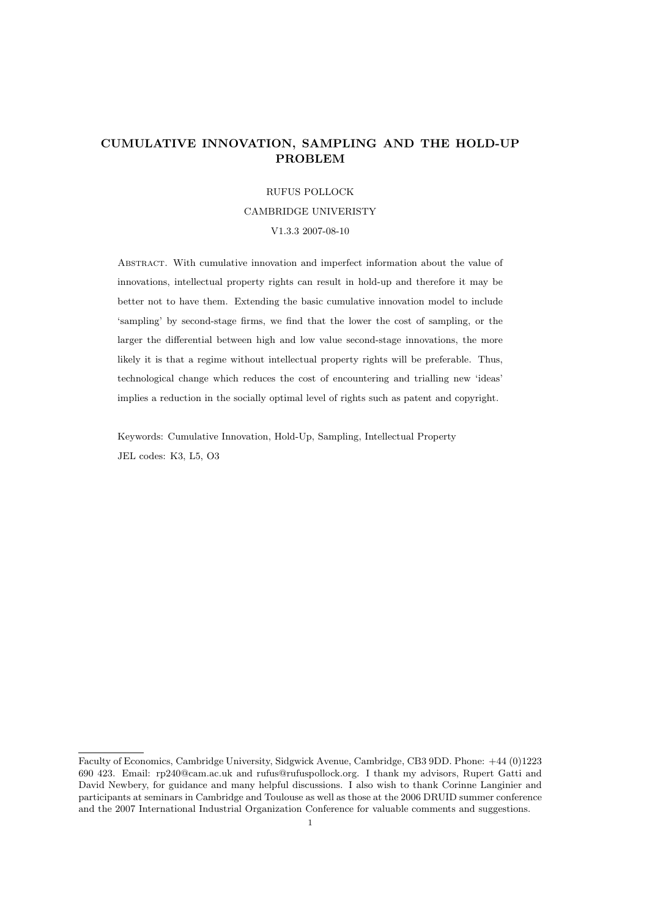# CUMULATIVE INNOVATION, SAMPLING AND THE HOLD-UP PROBLEM

#### RUFUS POLLOCK

#### CAMBRIDGE UNIVERISTY

V1.3.3 2007-08-10

Abstract. With cumulative innovation and imperfect information about the value of innovations, intellectual property rights can result in hold-up and therefore it may be better not to have them. Extending the basic cumulative innovation model to include 'sampling' by second-stage firms, we find that the lower the cost of sampling, or the larger the differential between high and low value second-stage innovations, the more likely it is that a regime without intellectual property rights will be preferable. Thus, technological change which reduces the cost of encountering and trialling new 'ideas' implies a reduction in the socially optimal level of rights such as patent and copyright.

Keywords: Cumulative Innovation, Hold-Up, Sampling, Intellectual Property JEL codes: K3, L5, O3

Faculty of Economics, Cambridge University, Sidgwick Avenue, Cambridge, CB3 9DD. Phone: +44 (0)1223 690 423. Email: rp240@cam.ac.uk and rufus@rufuspollock.org. I thank my advisors, Rupert Gatti and David Newbery, for guidance and many helpful discussions. I also wish to thank Corinne Langinier and participants at seminars in Cambridge and Toulouse as well as those at the 2006 DRUID summer conference and the 2007 International Industrial Organization Conference for valuable comments and suggestions.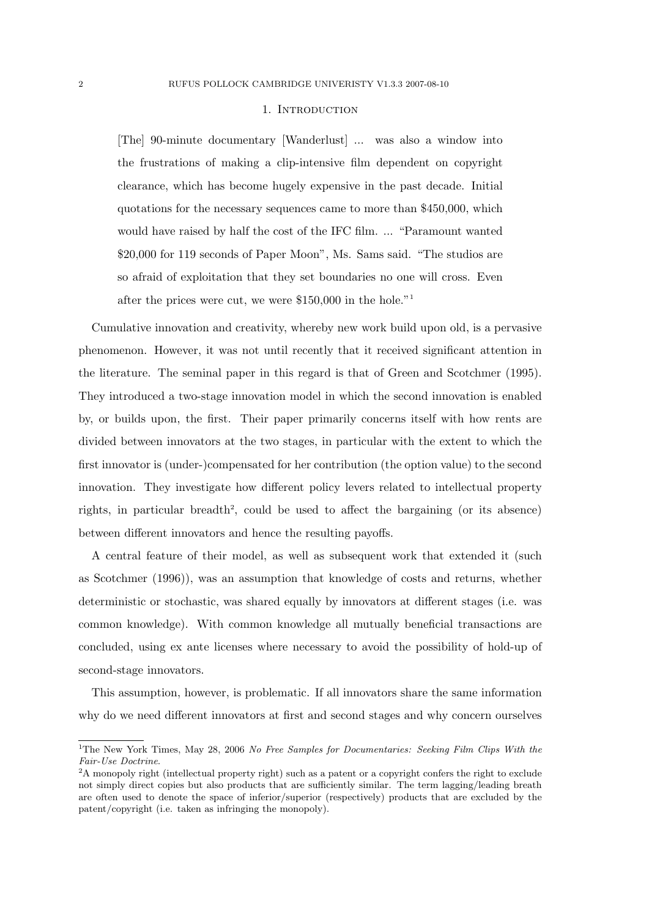#### 1. INTRODUCTION

[The] 90-minute documentary [Wanderlust] ... was also a window into the frustrations of making a clip-intensive film dependent on copyright clearance, which has become hugely expensive in the past decade. Initial quotations for the necessary sequences came to more than \$450,000, which would have raised by half the cost of the IFC film. ... "Paramount wanted \$20,000 for 119 seconds of Paper Moon", Ms. Sams said. "The studios are so afraid of exploitation that they set boundaries no one will cross. Even after the prices were cut, we were \$150,000 in the hole."<sup>1</sup>

Cumulative innovation and creativity, whereby new work build upon old, is a pervasive phenomenon. However, it was not until recently that it received significant attention in the literature. The seminal paper in this regard is that of Green and Scotchmer (1995). They introduced a two-stage innovation model in which the second innovation is enabled by, or builds upon, the first. Their paper primarily concerns itself with how rents are divided between innovators at the two stages, in particular with the extent to which the first innovator is (under-)compensated for her contribution (the option value) to the second innovation. They investigate how different policy levers related to intellectual property rights, in particular breadth<sup>2</sup>, could be used to affect the bargaining (or its absence) between different innovators and hence the resulting payoffs.

A central feature of their model, as well as subsequent work that extended it (such as Scotchmer (1996)), was an assumption that knowledge of costs and returns, whether deterministic or stochastic, was shared equally by innovators at different stages (i.e. was common knowledge). With common knowledge all mutually beneficial transactions are concluded, using ex ante licenses where necessary to avoid the possibility of hold-up of second-stage innovators.

This assumption, however, is problematic. If all innovators share the same information why do we need different innovators at first and second stages and why concern ourselves

<sup>&</sup>lt;sup>1</sup>The New York Times, May 28, 2006 No Free Samples for Documentaries: Seeking Film Clips With the Fair-Use Doctrine.

<sup>&</sup>lt;sup>2</sup>A monopoly right (intellectual property right) such as a patent or a copyright confers the right to exclude not simply direct copies but also products that are sufficiently similar. The term lagging/leading breath are often used to denote the space of inferior/superior (respectively) products that are excluded by the patent/copyright (i.e. taken as infringing the monopoly).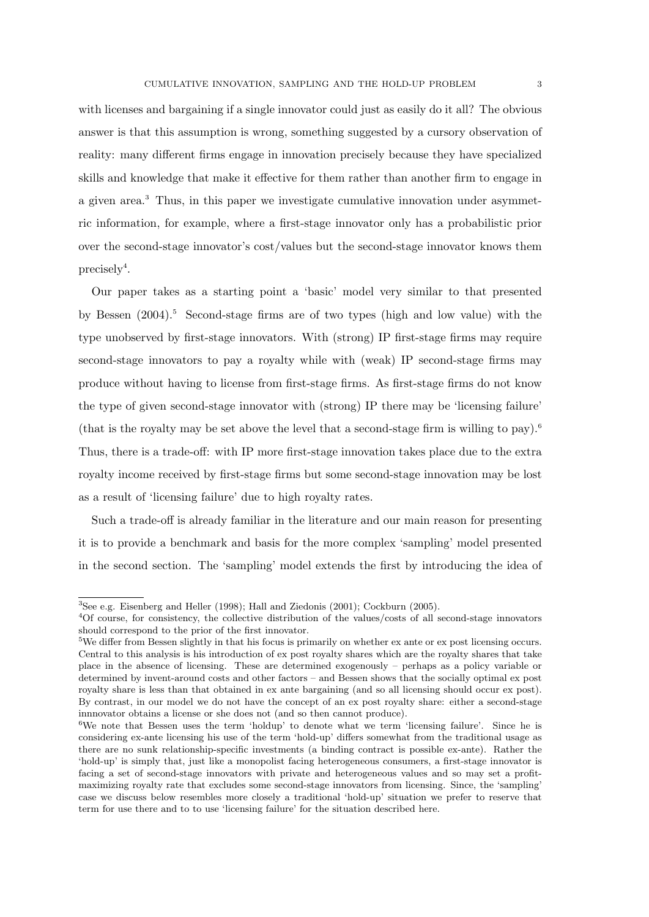with licenses and bargaining if a single innovator could just as easily do it all? The obvious answer is that this assumption is wrong, something suggested by a cursory observation of reality: many different firms engage in innovation precisely because they have specialized skills and knowledge that make it effective for them rather than another firm to engage in a given area.<sup>3</sup> Thus, in this paper we investigate cumulative innovation under asymmetric information, for example, where a first-stage innovator only has a probabilistic prior over the second-stage innovator's cost/values but the second-stage innovator knows them precisely<sup>4</sup>.

Our paper takes as a starting point a 'basic' model very similar to that presented by Bessen  $(2004).5$  Second-stage firms are of two types (high and low value) with the type unobserved by first-stage innovators. With (strong) IP first-stage firms may require second-stage innovators to pay a royalty while with (weak) IP second-stage firms may produce without having to license from first-stage firms. As first-stage firms do not know the type of given second-stage innovator with (strong) IP there may be 'licensing failure' (that is the royalty may be set above the level that a second-stage firm is willing to pay).<sup>6</sup> Thus, there is a trade-off: with IP more first-stage innovation takes place due to the extra royalty income received by first-stage firms but some second-stage innovation may be lost as a result of 'licensing failure' due to high royalty rates.

Such a trade-off is already familiar in the literature and our main reason for presenting it is to provide a benchmark and basis for the more complex 'sampling' model presented in the second section. The 'sampling' model extends the first by introducing the idea of

<sup>3</sup>See e.g. Eisenberg and Heller (1998); Hall and Ziedonis (2001); Cockburn (2005).

<sup>4</sup>Of course, for consistency, the collective distribution of the values/costs of all second-stage innovators should correspond to the prior of the first innovator.

<sup>5</sup>We differ from Bessen slightly in that his focus is primarily on whether ex ante or ex post licensing occurs. Central to this analysis is his introduction of ex post royalty shares which are the royalty shares that take place in the absence of licensing. These are determined exogenously – perhaps as a policy variable or determined by invent-around costs and other factors – and Bessen shows that the socially optimal ex post royalty share is less than that obtained in ex ante bargaining (and so all licensing should occur ex post). By contrast, in our model we do not have the concept of an ex post royalty share: either a second-stage innnovator obtains a license or she does not (and so then cannot produce).

<sup>&</sup>lt;sup>6</sup>We note that Bessen uses the term 'holdup' to denote what we term 'licensing failure'. Since he is considering ex-ante licensing his use of the term 'hold-up' differs somewhat from the traditional usage as there are no sunk relationship-specific investments (a binding contract is possible ex-ante). Rather the 'hold-up' is simply that, just like a monopolist facing heterogeneous consumers, a first-stage innovator is facing a set of second-stage innovators with private and heterogeneous values and so may set a profitmaximizing royalty rate that excludes some second-stage innovators from licensing. Since, the 'sampling' case we discuss below resembles more closely a traditional 'hold-up' situation we prefer to reserve that term for use there and to to use 'licensing failure' for the situation described here.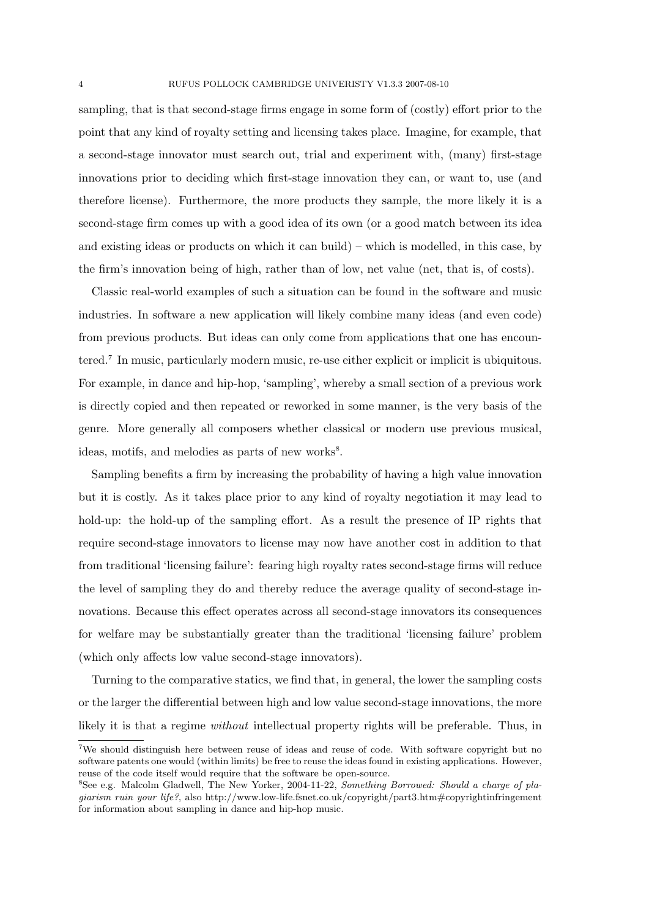sampling, that is that second-stage firms engage in some form of (costly) effort prior to the point that any kind of royalty setting and licensing takes place. Imagine, for example, that a second-stage innovator must search out, trial and experiment with, (many) first-stage innovations prior to deciding which first-stage innovation they can, or want to, use (and therefore license). Furthermore, the more products they sample, the more likely it is a second-stage firm comes up with a good idea of its own (or a good match between its idea and existing ideas or products on which it can build) – which is modelled, in this case, by the firm's innovation being of high, rather than of low, net value (net, that is, of costs).

Classic real-world examples of such a situation can be found in the software and music industries. In software a new application will likely combine many ideas (and even code) from previous products. But ideas can only come from applications that one has encountered.<sup>7</sup> In music, particularly modern music, re-use either explicit or implicit is ubiquitous. For example, in dance and hip-hop, 'sampling', whereby a small section of a previous work is directly copied and then repeated or reworked in some manner, is the very basis of the genre. More generally all composers whether classical or modern use previous musical, ideas, motifs, and melodies as parts of new works<sup>8</sup>.

Sampling benefits a firm by increasing the probability of having a high value innovation but it is costly. As it takes place prior to any kind of royalty negotiation it may lead to hold-up: the hold-up of the sampling effort. As a result the presence of IP rights that require second-stage innovators to license may now have another cost in addition to that from traditional 'licensing failure': fearing high royalty rates second-stage firms will reduce the level of sampling they do and thereby reduce the average quality of second-stage innovations. Because this effect operates across all second-stage innovators its consequences for welfare may be substantially greater than the traditional 'licensing failure' problem (which only affects low value second-stage innovators).

Turning to the comparative statics, we find that, in general, the lower the sampling costs or the larger the differential between high and low value second-stage innovations, the more likely it is that a regime *without* intellectual property rights will be preferable. Thus, in

<sup>7</sup>We should distinguish here between reuse of ideas and reuse of code. With software copyright but no software patents one would (within limits) be free to reuse the ideas found in existing applications. However, reuse of the code itself would require that the software be open-source.

<sup>8</sup>See e.g. Malcolm Gladwell, The New Yorker, 2004-11-22, Something Borrowed: Should a charge of plagiarism ruin your life?, also http://www.low-life.fsnet.co.uk/copyright/part3.htm#copyrightinfringement for information about sampling in dance and hip-hop music.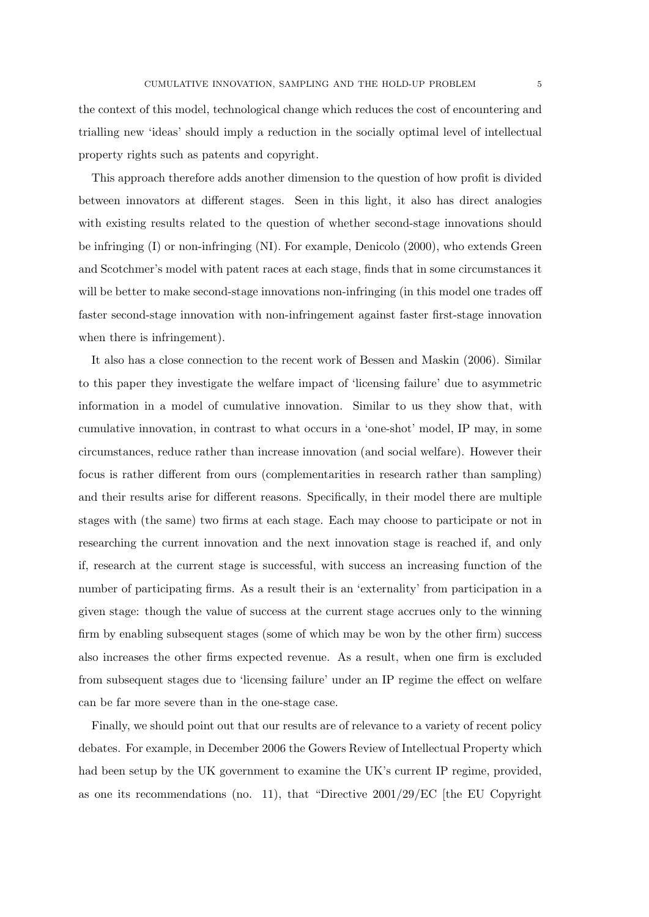the context of this model, technological change which reduces the cost of encountering and trialling new 'ideas' should imply a reduction in the socially optimal level of intellectual property rights such as patents and copyright.

This approach therefore adds another dimension to the question of how profit is divided between innovators at different stages. Seen in this light, it also has direct analogies with existing results related to the question of whether second-stage innovations should be infringing (I) or non-infringing (NI). For example, Denicolo (2000), who extends Green and Scotchmer's model with patent races at each stage, finds that in some circumstances it will be better to make second-stage innovations non-infringing (in this model one trades off faster second-stage innovation with non-infringement against faster first-stage innovation when there is infringement).

It also has a close connection to the recent work of Bessen and Maskin (2006). Similar to this paper they investigate the welfare impact of 'licensing failure' due to asymmetric information in a model of cumulative innovation. Similar to us they show that, with cumulative innovation, in contrast to what occurs in a 'one-shot' model, IP may, in some circumstances, reduce rather than increase innovation (and social welfare). However their focus is rather different from ours (complementarities in research rather than sampling) and their results arise for different reasons. Specifically, in their model there are multiple stages with (the same) two firms at each stage. Each may choose to participate or not in researching the current innovation and the next innovation stage is reached if, and only if, research at the current stage is successful, with success an increasing function of the number of participating firms. As a result their is an 'externality' from participation in a given stage: though the value of success at the current stage accrues only to the winning firm by enabling subsequent stages (some of which may be won by the other firm) success also increases the other firms expected revenue. As a result, when one firm is excluded from subsequent stages due to 'licensing failure' under an IP regime the effect on welfare can be far more severe than in the one-stage case.

Finally, we should point out that our results are of relevance to a variety of recent policy debates. For example, in December 2006 the Gowers Review of Intellectual Property which had been setup by the UK government to examine the UK's current IP regime, provided, as one its recommendations (no. 11), that "Directive  $2001/29/EC$  [the EU Copyright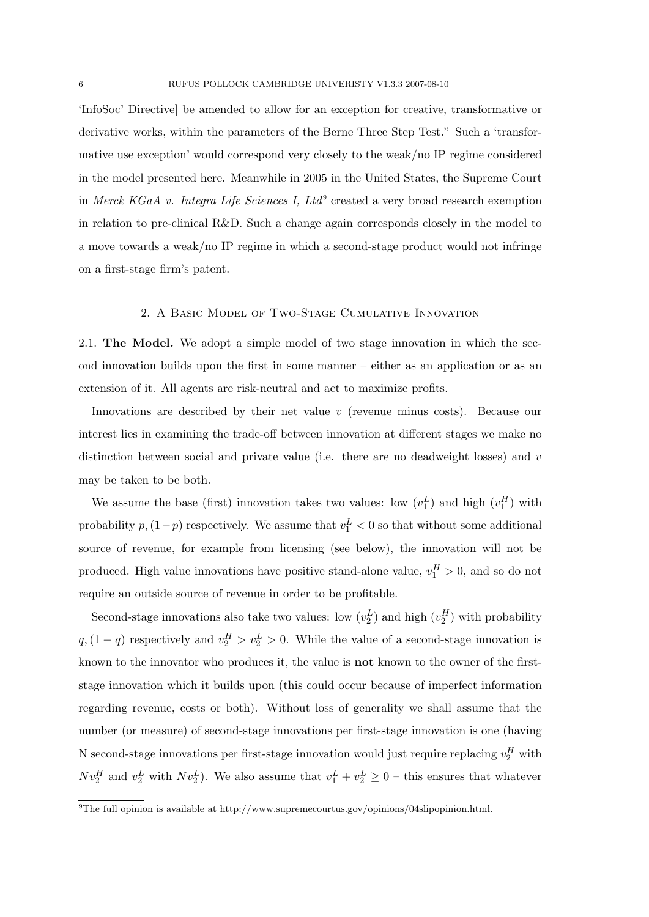'InfoSoc' Directive] be amended to allow for an exception for creative, transformative or derivative works, within the parameters of the Berne Three Step Test." Such a 'transformative use exception' would correspond very closely to the weak/no IP regime considered in the model presented here. Meanwhile in 2005 in the United States, the Supreme Court in Merck KGaA v. Integra Life Sciences I, Ltd<sup>9</sup> created a very broad research exemption in relation to pre-clinical R&D. Such a change again corresponds closely in the model to a move towards a weak/no IP regime in which a second-stage product would not infringe on a first-stage firm's patent.

### 2. A Basic Model of Two-Stage Cumulative Innovation

2.1. The Model. We adopt a simple model of two stage innovation in which the second innovation builds upon the first in some manner – either as an application or as an extension of it. All agents are risk-neutral and act to maximize profits.

Innovations are described by their net value  $v$  (revenue minus costs). Because our interest lies in examining the trade-off between innovation at different stages we make no distinction between social and private value (i.e. there are no deadweight losses) and v may be taken to be both.

We assume the base (first) innovation takes two values: low  $(v_1^L)$  and high  $(v_1^H)$  with probability  $p$ ,  $(1-p)$  respectively. We assume that  $v_1^L < 0$  so that without some additional source of revenue, for example from licensing (see below), the innovation will not be produced. High value innovations have positive stand-alone value,  $v_1^H > 0$ , and so do not require an outside source of revenue in order to be profitable.

Second-stage innovations also take two values: low  $(v_2^L)$  and high  $(v_2^H)$  with probability  $q$ ,  $(1 - q)$  respectively and  $v_2^H > v_2^L > 0$ . While the value of a second-stage innovation is known to the innovator who produces it, the value is not known to the owner of the firststage innovation which it builds upon (this could occur because of imperfect information regarding revenue, costs or both). Without loss of generality we shall assume that the number (or measure) of second-stage innovations per first-stage innovation is one (having N second-stage innovations per first-stage innovation would just require replacing  $v_2^H$  with  $Nv_2^H$  and  $v_2^L$  with  $Nv_2^L$ ). We also assume that  $v_1^L + v_2^L \geq 0$  – this ensures that whatever

<sup>&</sup>lt;sup>9</sup>The full opinion is available at http://www.supremecourtus.gov/opinions/04slipopinion.html.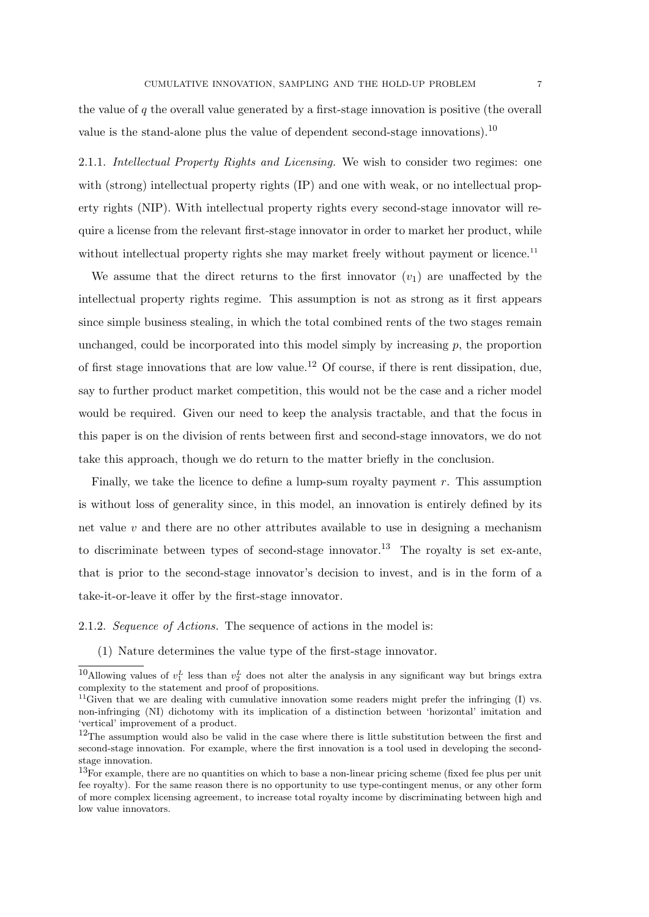the value of  $q$  the overall value generated by a first-stage innovation is positive (the overall value is the stand-alone plus the value of dependent second-stage innovations).<sup>10</sup>

2.1.1. Intellectual Property Rights and Licensing. We wish to consider two regimes: one with (strong) intellectual property rights (IP) and one with weak, or no intellectual property rights (NIP). With intellectual property rights every second-stage innovator will require a license from the relevant first-stage innovator in order to market her product, while without intellectual property rights she may market freely without payment or licence.<sup>11</sup>

We assume that the direct returns to the first innovator  $(v_1)$  are unaffected by the intellectual property rights regime. This assumption is not as strong as it first appears since simple business stealing, in which the total combined rents of the two stages remain unchanged, could be incorporated into this model simply by increasing  $p$ , the proportion of first stage innovations that are low value.<sup>12</sup> Of course, if there is rent dissipation, due, say to further product market competition, this would not be the case and a richer model would be required. Given our need to keep the analysis tractable, and that the focus in this paper is on the division of rents between first and second-stage innovators, we do not take this approach, though we do return to the matter briefly in the conclusion.

Finally, we take the licence to define a lump-sum royalty payment  $r$ . This assumption is without loss of generality since, in this model, an innovation is entirely defined by its net value  $v$  and there are no other attributes available to use in designing a mechanism to discriminate between types of second-stage innovator.<sup>13</sup> The royalty is set ex-ante, that is prior to the second-stage innovator's decision to invest, and is in the form of a take-it-or-leave it offer by the first-stage innovator.

2.1.2. Sequence of Actions. The sequence of actions in the model is:

(1) Nature determines the value type of the first-stage innovator.

<sup>&</sup>lt;sup>10</sup>Allowing values of  $v_1^L$  less than  $v_2^L$  does not alter the analysis in any significant way but brings extra complexity to the statement and proof of propositions.

<sup>&</sup>lt;sup>11</sup>Given that we are dealing with cumulative innovation some readers might prefer the infringing  $(I)$  vs. non-infringing (NI) dichotomy with its implication of a distinction between 'horizontal' imitation and 'vertical' improvement of a product.

<sup>&</sup>lt;sup>12</sup>The assumption would also be valid in the case where there is little substitution between the first and second-stage innovation. For example, where the first innovation is a tool used in developing the secondstage innovation.

<sup>13</sup>For example, there are no quantities on which to base a non-linear pricing scheme (fixed fee plus per unit fee royalty). For the same reason there is no opportunity to use type-contingent menus, or any other form of more complex licensing agreement, to increase total royalty income by discriminating between high and low value innovators.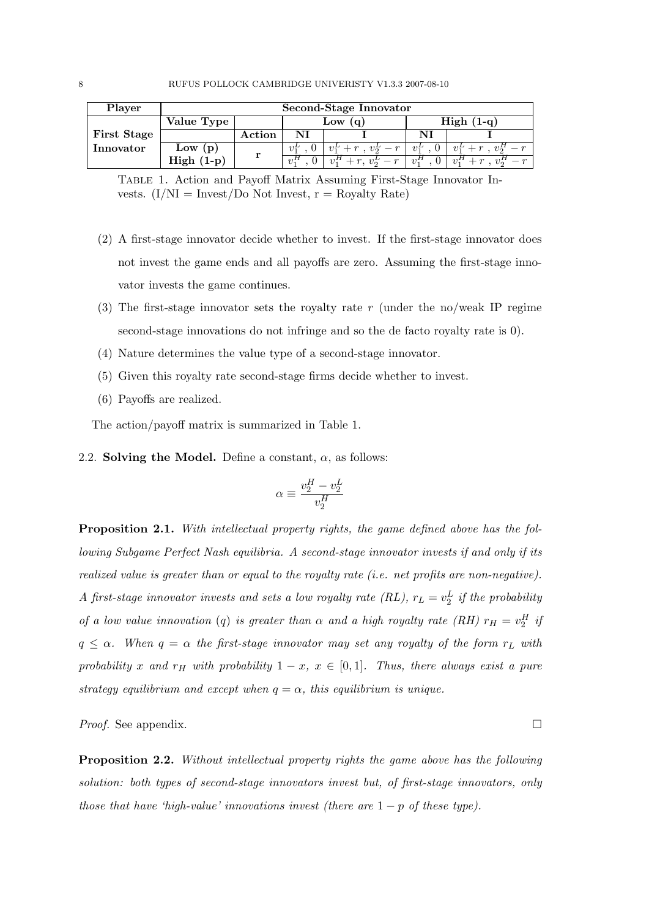| Player             | Second-Stage Innovator |        |          |                                                         |             |                                   |
|--------------------|------------------------|--------|----------|---------------------------------------------------------|-------------|-----------------------------------|
|                    | Value Type             | Low    |          | $High (1-q)$                                            |             |                                   |
| <b>First Stage</b> |                        | Action | NI       |                                                         | NI          |                                   |
| Innovator          | Low $(p)$              | r      | $v_1$    | $+r$ , $v_2^L - r$                                      | $v_1^{\mu}$ | $v_2^n$<br>$r+r$ .<br>$v_1^{\mu}$ |
|                    | $High (1-p)$           |        | $\eta_1$ | $\eta$ <sup><math>H</math></sup><br>$r, v_2^L$<br>$- r$ | $v_1^H$     | $\partial$ , $H$<br>$21^{11}$     |

Table 1. Action and Payoff Matrix Assuming First-Stage Innovator Invests.  $(I/NI = \text{Invest/Do Not Invest}, r = \text{Royalty Rate})$ 

- (2) A first-stage innovator decide whether to invest. If the first-stage innovator does not invest the game ends and all payoffs are zero. Assuming the first-stage innovator invests the game continues.
- (3) The first-stage innovator sets the royalty rate r (under the no/weak IP regime second-stage innovations do not infringe and so the de facto royalty rate is 0).
- (4) Nature determines the value type of a second-stage innovator.
- (5) Given this royalty rate second-stage firms decide whether to invest.
- (6) Payoffs are realized.

The action/payoff matrix is summarized in Table 1.

2.2. Solving the Model. Define a constant,  $\alpha$ , as follows:

$$
\alpha \equiv \frac{v_2^H - v_2^L}{v_2^H}
$$

Proposition 2.1. With intellectual property rights, the game defined above has the following Subgame Perfect Nash equilibria. A second-stage innovator invests if and only if its realized value is greater than or equal to the royalty rate (i.e. net profits are non-negative). A first-stage innovator invests and sets a low royalty rate (RL),  $r_L = v_2^L$  if the probability of a low value innovation (q) is greater than  $\alpha$  and a high royalty rate (RH)  $r_H = v_2^H$  is  $q \leq \alpha$ . When  $q = \alpha$  the first-stage innovator may set any royalty of the form  $r_L$  with probability x and r<sub>H</sub> with probability  $1 - x$ ,  $x \in [0, 1]$ . Thus, there always exist a pure strategy equilibrium and except when  $q = \alpha$ , this equilibrium is unique.

*Proof.* See appendix.  $\Box$ 

Proposition 2.2. Without intellectual property rights the game above has the following solution: both types of second-stage innovators invest but, of first-stage innovators, only those that have 'high-value' innovations invest (there are  $1 - p$  of these type).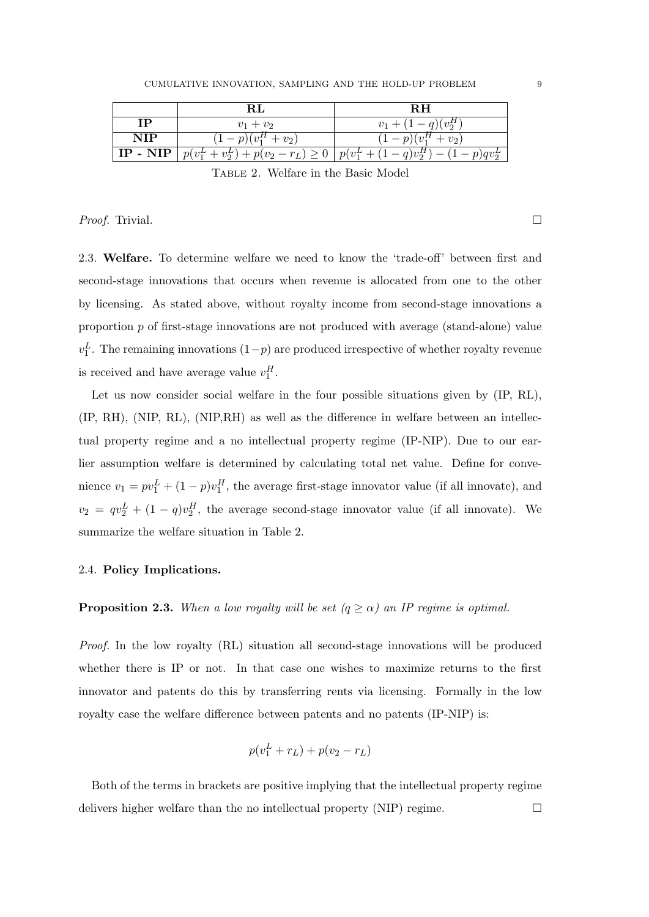|            |                      | R.H                                                                            |
|------------|----------------------|--------------------------------------------------------------------------------|
| ΙP         | $v_1 + v_2$          | $v_1 + (1-q)(v_2^H)$                                                           |
| <b>NIP</b> | $(1-p)(v_1^H + v_2)$ | $(1-p)(v_1^H + v_2)$                                                           |
| $IP - NIP$ |                      | $ p(v_1^L + v_2^L) + p(v_2 - r_L) \ge 0   p(v_1^L + (1-q)v_2^H) - (1-p)qv_2^L$ |

Table 2. Welfare in the Basic Model

*Proof.* Trivial.

2.3. Welfare. To determine welfare we need to know the 'trade-off' between first and second-stage innovations that occurs when revenue is allocated from one to the other by licensing. As stated above, without royalty income from second-stage innovations a proportion p of first-stage innovations are not produced with average (stand-alone) value  $v_1^L$ . The remaining innovations  $(1-p)$  are produced irrespective of whether royalty revenue is received and have average value  $v_1^H$ .

Let us now consider social welfare in the four possible situations given by  $(IP, RL)$ , (IP, RH), (NIP, RL), (NIP,RH) as well as the difference in welfare between an intellectual property regime and a no intellectual property regime (IP-NIP). Due to our earlier assumption welfare is determined by calculating total net value. Define for convenience  $v_1 = pv_1^L + (1 - p)v_1^H$ , the average first-stage innovator value (if all innovate), and  $v_2 = qv_2^L + (1-q)v_2^H$ , the average second-stage innovator value (if all innovate). We summarize the welfare situation in Table 2.

## 2.4. Policy Implications.

**Proposition 2.3.** When a low royalty will be set  $(q \ge \alpha)$  an IP regime is optimal.

Proof. In the low royalty (RL) situation all second-stage innovations will be produced whether there is IP or not. In that case one wishes to maximize returns to the first innovator and patents do this by transferring rents via licensing. Formally in the low royalty case the welfare difference between patents and no patents (IP-NIP) is:

$$
p(v_1^L + r_L) + p(v_2 - r_L)
$$

Both of the terms in brackets are positive implying that the intellectual property regime delivers higher welfare than the no intellectual property  $(NIP)$  regime.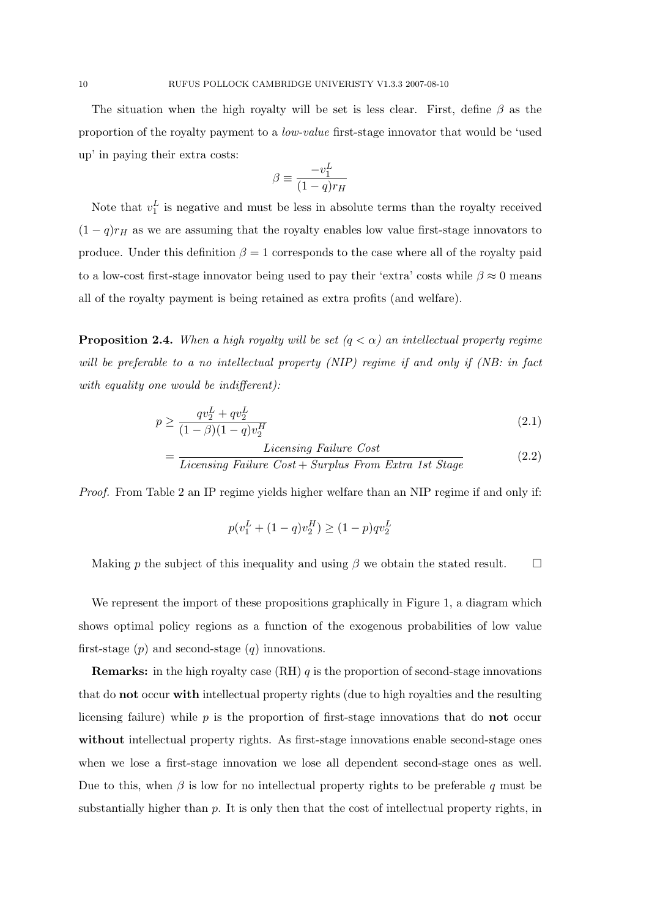The situation when the high royalty will be set is less clear. First, define  $\beta$  as the proportion of the royalty payment to a low-value first-stage innovator that would be 'used up' in paying their extra costs:

$$
\beta \equiv \frac{-v_1^L}{(1-q)r_H}
$$

Note that  $v_1^L$  is negative and must be less in absolute terms than the royalty received  $(1 - q)r_H$  as we are assuming that the royalty enables low value first-stage innovators to produce. Under this definition  $\beta = 1$  corresponds to the case where all of the royalty paid to a low-cost first-stage innovator being used to pay their 'extra' costs while  $\beta \approx 0$  means all of the royalty payment is being retained as extra profits (and welfare).

**Proposition 2.4.** When a high royalty will be set  $(q < \alpha)$  an intellectual property regime will be preferable to a no intellectual property (NIP) regime if and only if (NB: in fact with equality one would be indifferent):

$$
p \ge \frac{qv_2^L + qv_2^L}{(1-\beta)(1-q)v_2^H} \tag{2.1}
$$

$$
= \frac{Licensing \; Failure \; Cost}{Licensing \; Failure \; Cost + Surplus \; From \; Extra \; 1st \; Stage} \tag{2.2}
$$

Proof. From Table 2 an IP regime yields higher welfare than an NIP regime if and only if:

=

$$
p(v_1^L + (1-q)v_2^H) \ge (1-p)qv_2^L
$$

Making p the subject of this inequality and using  $\beta$  we obtain the stated result.  $\square$ 

We represent the import of these propositions graphically in Figure 1, a diagram which shows optimal policy regions as a function of the exogenous probabilities of low value first-stage  $(p)$  and second-stage  $(q)$  innovations.

**Remarks:** in the high royalty case  $(RH)$  q is the proportion of second-stage innovations that do not occur with intellectual property rights (due to high royalties and the resulting licensing failure) while  $p$  is the proportion of first-stage innovations that do **not** occur without intellectual property rights. As first-stage innovations enable second-stage ones when we lose a first-stage innovation we lose all dependent second-stage ones as well. Due to this, when  $\beta$  is low for no intellectual property rights to be preferable q must be substantially higher than p. It is only then that the cost of intellectual property rights, in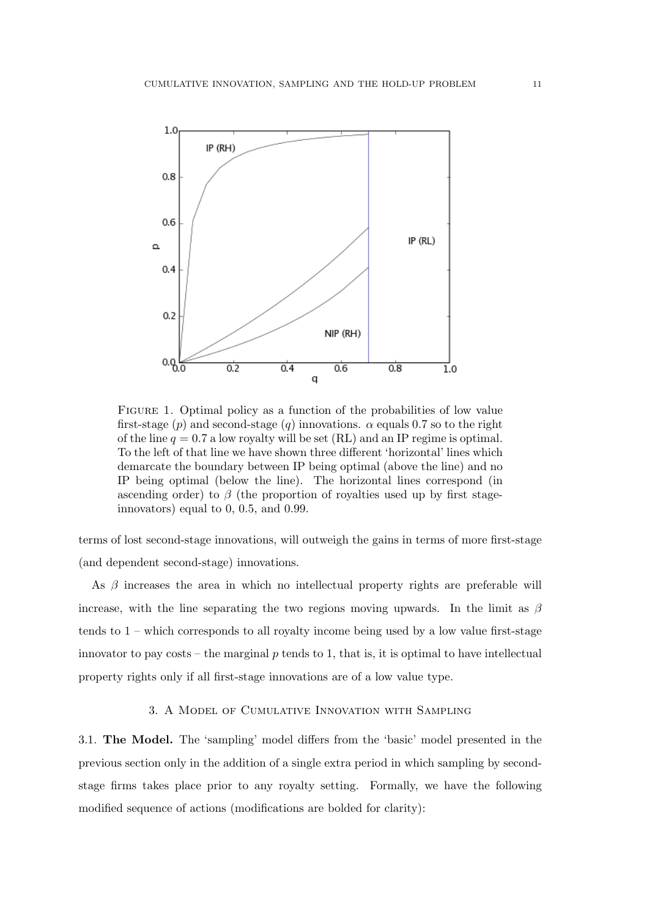

FIGURE 1. Optimal policy as a function of the probabilities of low value first-stage (p) and second-stage (q) innovations.  $\alpha$  equals 0.7 so to the right of the line  $q = 0.7$  a low royalty will be set (RL) and an IP regime is optimal. To the left of that line we have shown three different 'horizontal' lines which demarcate the boundary between IP being optimal (above the line) and no IP being optimal (below the line). The horizontal lines correspond (in ascending order) to  $\beta$  (the proportion of royalties used up by first stageinnovators) equal to 0, 0.5, and 0.99.

terms of lost second-stage innovations, will outweigh the gains in terms of more first-stage (and dependent second-stage) innovations.

As  $\beta$  increases the area in which no intellectual property rights are preferable will increase, with the line separating the two regions moving upwards. In the limit as  $\beta$ tends to  $1$  – which corresponds to all royalty income being used by a low value first-stage innovator to pay costs – the marginal  $p$  tends to 1, that is, it is optimal to have intellectual property rights only if all first-stage innovations are of a low value type.

# 3. A Model of Cumulative Innovation with Sampling

3.1. The Model. The 'sampling' model differs from the 'basic' model presented in the previous section only in the addition of a single extra period in which sampling by secondstage firms takes place prior to any royalty setting. Formally, we have the following modified sequence of actions (modifications are bolded for clarity):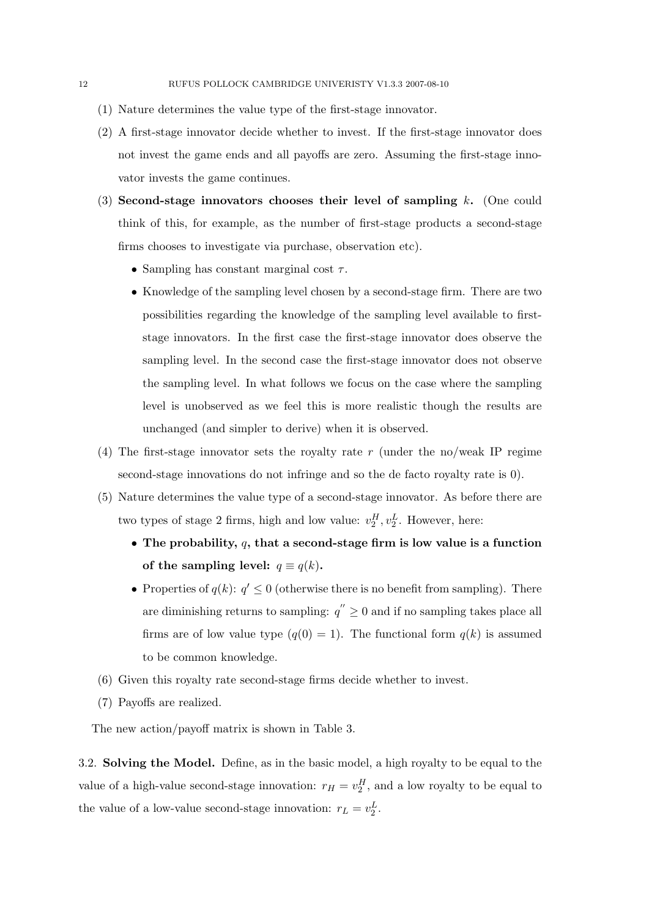- (1) Nature determines the value type of the first-stage innovator.
- (2) A first-stage innovator decide whether to invest. If the first-stage innovator does not invest the game ends and all payoffs are zero. Assuming the first-stage innovator invests the game continues.
- (3) Second-stage innovators chooses their level of sampling k. (One could think of this, for example, as the number of first-stage products a second-stage firms chooses to investigate via purchase, observation etc).
	- Sampling has constant marginal cost  $\tau$ .
	- Knowledge of the sampling level chosen by a second-stage firm. There are two possibilities regarding the knowledge of the sampling level available to firststage innovators. In the first case the first-stage innovator does observe the sampling level. In the second case the first-stage innovator does not observe the sampling level. In what follows we focus on the case where the sampling level is unobserved as we feel this is more realistic though the results are unchanged (and simpler to derive) when it is observed.
- (4) The first-stage innovator sets the royalty rate r (under the no/weak IP regime second-stage innovations do not infringe and so the de facto royalty rate is 0).
- (5) Nature determines the value type of a second-stage innovator. As before there are two types of stage 2 firms, high and low value:  $v_2^H$ ,  $v_2^L$ . However, here:
	- The probability,  $q$ , that a second-stage firm is low value is a function of the sampling level:  $q \equiv q(k)$ .
	- Properties of  $q(k)$ :  $q' \leq 0$  (otherwise there is no benefit from sampling). There are diminishing returns to sampling:  $q'' \geq 0$  and if no sampling takes place all firms are of low value type  $(q(0) = 1)$ . The functional form  $q(k)$  is assumed to be common knowledge.
- (6) Given this royalty rate second-stage firms decide whether to invest.
- (7) Payoffs are realized.

The new action/payoff matrix is shown in Table 3.

3.2. Solving the Model. Define, as in the basic model, a high royalty to be equal to the value of a high-value second-stage innovation:  $r_H = v_2^H$ , and a low royalty to be equal to the value of a low-value second-stage innovation:  $r_L = v_2^L$ .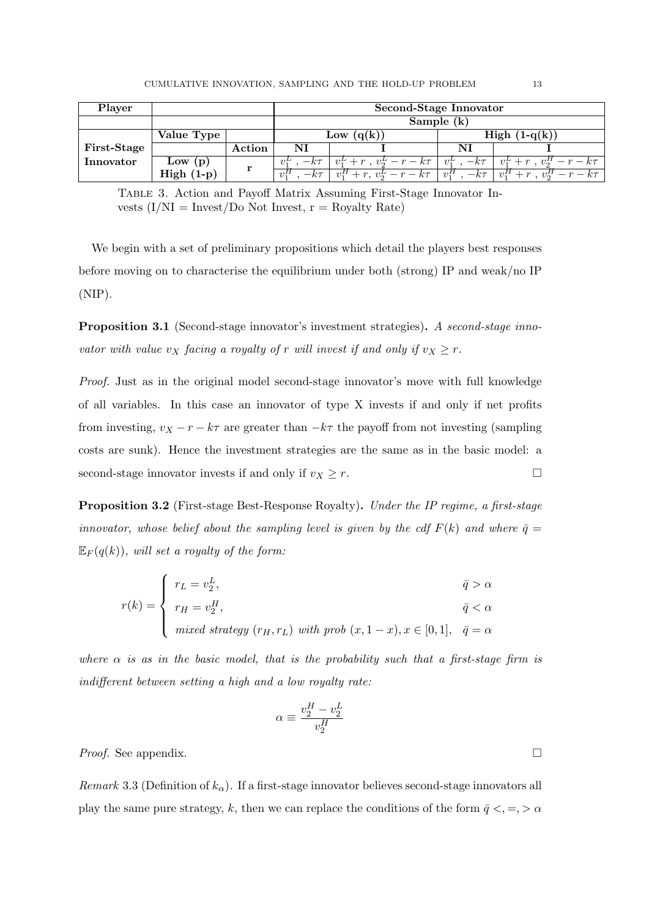| Player      |                   |        | Second-Stage Innovator |                                    |                     |                                   |  |
|-------------|-------------------|--------|------------------------|------------------------------------|---------------------|-----------------------------------|--|
|             |                   |        | Sample $(k)$           |                                    |                     |                                   |  |
|             | Value Type        |        | (q(k))<br>Low          |                                    | High $(1-q(k))$     |                                   |  |
| First-Stage |                   | Action | NI                     |                                    | NI                  |                                   |  |
| Innovator   | Low<br>(p)        | r      | $-k\tau$               | $v_1^L + r$ , $v_2^L - r - k\tau$  | $-k\tau$<br>$v_1^L$ | $v_1^L + r$ , $v_2^H - r - k\tau$ |  |
|             | High (<br>$(1-p)$ |        | $-k\tau$               | $+r, v_2^L - r - k\tau$<br>$v_1^H$ | $v_1^H$<br>$-k\tau$ | $v_1^H$<br>$v_2^H$<br>$-r-k\tau$  |  |

Table 3. Action and Payoff Matrix Assuming First-Stage Innovator Invests  $(I/NI = \text{Invest/Do Not Invest}, r = \text{Royalty Rate})$ 

We begin with a set of preliminary propositions which detail the players best responses before moving on to characterise the equilibrium under both (strong) IP and weak/no IP (NIP).

Proposition 3.1 (Second-stage innovator's investment strategies). A second-stage innovator with value  $v_X$  facing a royalty of r will invest if and only if  $v_X \ge r$ .

Proof. Just as in the original model second-stage innovator's move with full knowledge of all variables. In this case an innovator of type X invests if and only if net profits from investing,  $v_X - r - k\tau$  are greater than  $-k\tau$  the payoff from not investing (sampling costs are sunk). Hence the investment strategies are the same as in the basic model: a second-stage innovator invests if and only if  $v_X \geq r$ .

Proposition 3.2 (First-stage Best-Response Royalty). Under the IP regime, a first-stage innovator, whose belief about the sampling level is given by the cdf  $F(k)$  and where  $\bar{q} =$  $\mathbb{E}_F(q(k))$ , will set a royalty of the form:

$$
r(k) = \begin{cases} r_L = v_2^L, & \bar{q} > \alpha \\ r_H = v_2^H, & \bar{q} < \alpha \\ mixed \; strategy \; (r_H, r_L) \; with \; prob \; (x, 1-x), x \in [0,1], & \bar{q} = \alpha \end{cases}
$$

where  $\alpha$  is as in the basic model, that is the probability such that a first-stage firm is indifferent between setting a high and a low royalty rate:

$$
\alpha \equiv \frac{v_2^H - v_2^L}{v_2^H}
$$

*Proof.* See appendix.  $\Box$ 

Remark 3.3 (Definition of  $k_{\alpha}$ ). If a first-stage innovator believes second-stage innovators all play the same pure strategy, k, then we can replace the conditions of the form  $\bar{q} <, =, > \alpha$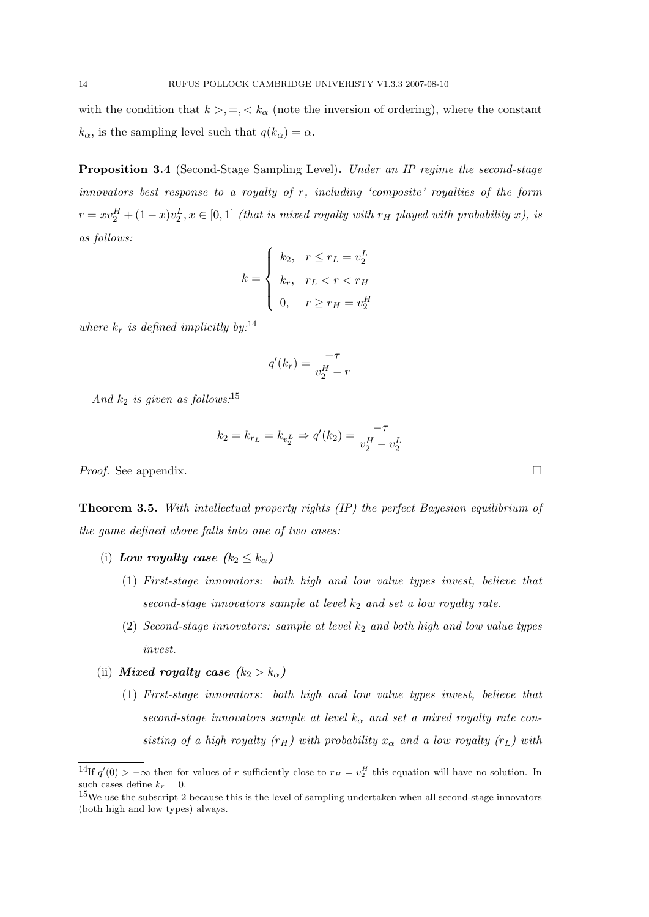with the condition that  $k > 0, \leq k_{\alpha}$  (note the inversion of ordering), where the constant  $k_{\alpha}$ , is the sampling level such that  $q(k_{\alpha}) = \alpha$ .

Proposition 3.4 (Second-Stage Sampling Level). Under an IP regime the second-stage innovators best response to a royalty of  $r$ , including 'composite' royalties of the form  $r = xv_2^H + (1-x)v_2^L, x \in [0,1]$  (that is mixed royalty with  $r_H$  played with probability x), is as follows:

$$
k = \begin{cases} k_2, & r \le r_L = v_2^L \\ k_r, & r_L < r < r_H \\ 0, & r \ge r_H = v_2^H \end{cases}
$$

where  $k_r$  is defined implicitly by:<sup>14</sup>

$$
q'(k_r) = \frac{-\tau}{v_2^H - r}
$$

And  $k_2$  is given as follows:<sup>15</sup>

$$
k_2 = k_{r_L} = k_{v_2^L} \Rightarrow q'(k_2) = \frac{-\tau}{v_2^H - v_2^L}
$$

*Proof.* See appendix.  $\Box$ 

Theorem 3.5. With intellectual property rights (IP) the perfect Bayesian equilibrium of the game defined above falls into one of two cases:

- (i) Low royalty case  $(k_2 \leq k_\alpha)$ 
	- (1) First-stage innovators: both high and low value types invest, believe that second-stage innovators sample at level  $k_2$  and set a low royalty rate.
	- (2) Second-stage innovators: sample at level  $k_2$  and both high and low value types invest.
- (ii) Mixed royalty case  $(k_2 > k_0)$ 
	- (1) First-stage innovators: both high and low value types invest, believe that second-stage innovators sample at level  $k_{\alpha}$  and set a mixed royalty rate consisting of a high royalty (r<sub>H</sub>) with probability  $x_{\alpha}$  and a low royalty (r<sub>L</sub>) with

<sup>&</sup>lt;sup>14</sup>If  $q'(0) > -\infty$  then for values of r sufficiently close to  $r_H = v_2^H$  this equation will have no solution. In such cases define  $k_r = 0$ .

<sup>&</sup>lt;sup>15</sup>We use the subscript 2 because this is the level of sampling undertaken when all second-stage innovators (both high and low types) always.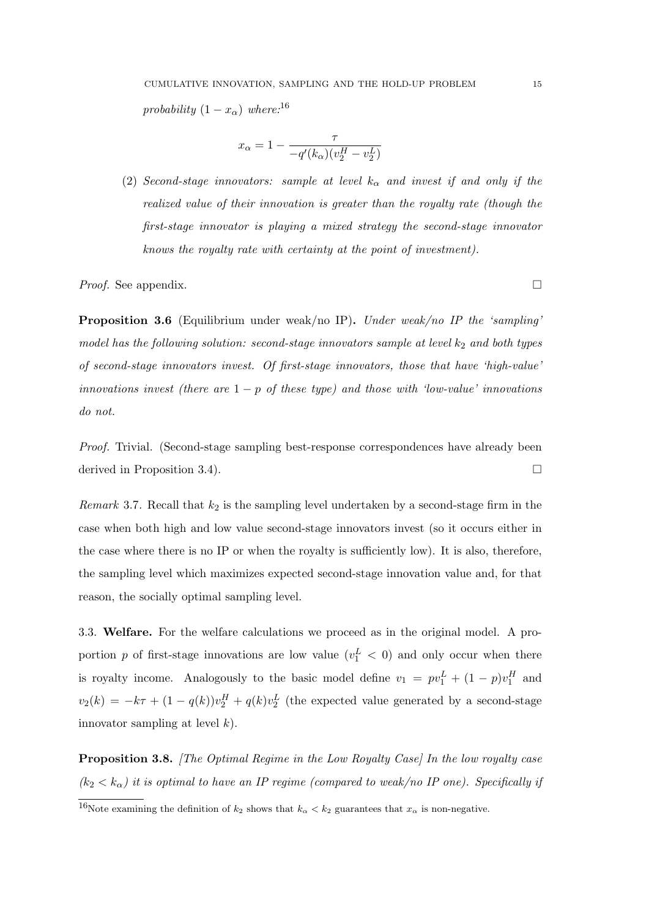probability  $(1 - x_{\alpha})$  where:<sup>16</sup>

$$
x_{\alpha} = 1 - \frac{\tau}{-q'(k_{\alpha})(v_2^H - v_2^L)}
$$

(2) Second-stage innovators: sample at level  $k_{\alpha}$  and invest if and only if the realized value of their innovation is greater than the royalty rate (though the first-stage innovator is playing a mixed strategy the second-stage innovator knows the royalty rate with certainty at the point of investment).

*Proof.* See appendix.  $\Box$ 

Proposition 3.6 (Equilibrium under weak/no IP). Under weak/no IP the 'sampling' model has the following solution: second-stage innovators sample at level  $k_2$  and both types of second-stage innovators invest. Of first-stage innovators, those that have 'high-value' innovations invest (there are  $1 - p$  of these type) and those with 'low-value' innovations do not.

Proof. Trivial. (Second-stage sampling best-response correspondences have already been derived in Proposition 3.4).

*Remark* 3.7. Recall that  $k_2$  is the sampling level undertaken by a second-stage firm in the case when both high and low value second-stage innovators invest (so it occurs either in the case where there is no IP or when the royalty is sufficiently low). It is also, therefore, the sampling level which maximizes expected second-stage innovation value and, for that reason, the socially optimal sampling level.

3.3. Welfare. For the welfare calculations we proceed as in the original model. A proportion p of first-stage innovations are low value  $(v_1^L < 0)$  and only occur when there is royalty income. Analogously to the basic model define  $v_1 = pv_1^L + (1 - p)v_1^H$  and  $v_2(k) = -k\tau + (1 - q(k))v_2^H + q(k)v_2^L$  (the expected value generated by a second-stage innovator sampling at level  $k$ ).

**Proposition 3.8.** [The Optimal Regime in the Low Royalty Case] In the low royalty case  $(k_2 < k_\alpha)$  it is optimal to have an IP regime (compared to weak/no IP one). Specifically if

<sup>&</sup>lt;sup>16</sup>Note examining the definition of  $k_2$  shows that  $k_{\alpha} < k_2$  guarantees that  $x_{\alpha}$  is non-negative.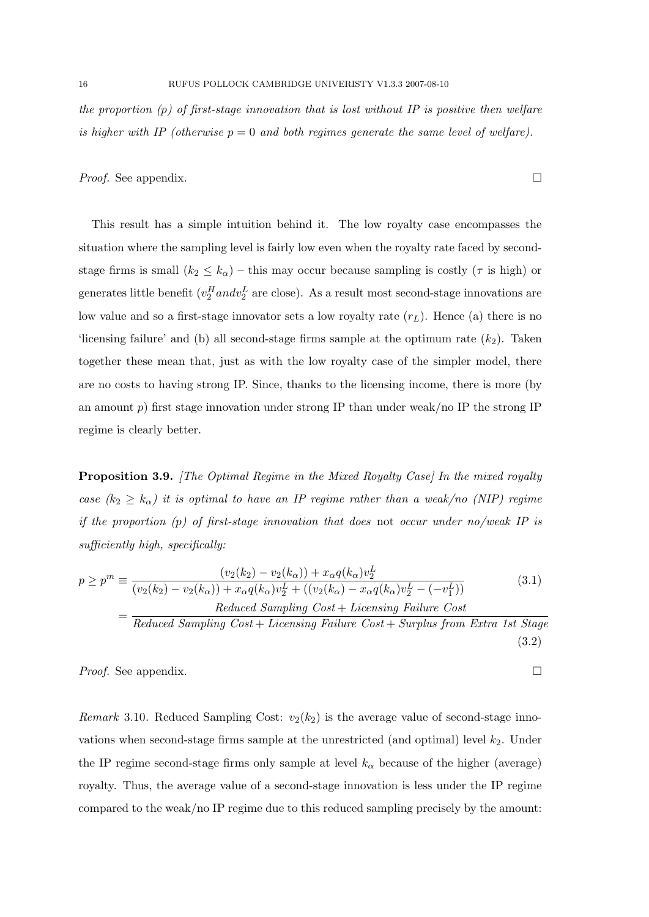the proportion  $(p)$  of first-stage innovation that is lost without IP is positive then welfare is higher with IP (otherwise  $p = 0$  and both regimes generate the same level of welfare).

*Proof.* See appendix.  $\Box$ 

This result has a simple intuition behind it. The low royalty case encompasses the situation where the sampling level is fairly low even when the royalty rate faced by secondstage firms is small  $(k_2 \leq k_0)$  – this may occur because sampling is costly ( $\tau$  is high) or generates little benefit ( $v_2^H$ and $v_2^L$  are close). As a result most second-stage innovations are low value and so a first-stage innovator sets a low royalty rate  $(r<sub>L</sub>)$ . Hence (a) there is no 'licensing failure' and (b) all second-stage firms sample at the optimum rate  $(k_2)$ . Taken together these mean that, just as with the low royalty case of the simpler model, there are no costs to having strong IP. Since, thanks to the licensing income, there is more (by an amount p) first stage innovation under strong IP than under weak/no IP the strong IP regime is clearly better.

**Proposition 3.9.** [The Optimal Regime in the Mixed Royalty Case] In the mixed royalty case  $(k_2 \geq k_\alpha)$  it is optimal to have an IP regime rather than a weak/no (NIP) regime if the proportion  $(p)$  of first-stage innovation that does not occur under no/weak IP is sufficiently high, specifically:

$$
p \ge p^m \equiv \frac{(v_2(k_2) - v_2(k_\alpha)) + x_\alpha q(k_\alpha)v_2^L}{(v_2(k_2) - v_2(k_\alpha)) + x_\alpha q(k_\alpha)v_2^L + ((v_2(k_\alpha) - x_\alpha q(k_\alpha)v_2^L - (-v_1^L))}
$$
(3.1)  

$$
= \frac{Reduced \ Sampling \ Cost + Licensing \ Failure \ Cost}{D \cdot l \cdot (1 - C \cdot h \cdot L) \cdot (1 - C \cdot h \cdot L) \cdot (1 - C \cdot h \cdot L) \cdot (1 - C \cdot h \cdot L) \cdot (1 - C \cdot h \cdot L) \cdot (1 - C \cdot h \cdot L) \cdot (1 - C \cdot h \cdot L) \cdot (1 - C \cdot h \cdot L) \cdot (1 - C \cdot h \cdot L) \cdot (1 - C \cdot h \cdot L) \cdot (1 - C \cdot h \cdot L) \cdot (1 - C \cdot h \cdot L) \cdot (1 - C \cdot h \cdot L) \cdot (1 - C \cdot h \cdot L) \cdot (1 - C \cdot h \cdot L) \cdot (1 - C \cdot h \cdot L) \cdot (1 - C \cdot h \cdot L) \cdot (1 - C \cdot h \cdot L) \cdot (1 - C \cdot h \cdot L) \cdot (1 - C \cdot h \cdot L) \cdot (1 - C \cdot h \cdot L) \cdot (1 - C \cdot h \cdot L) \cdot (1 - C \cdot h \cdot L) \cdot (1 - C \cdot h \cdot L) \cdot (1 - C \cdot h \cdot L) \cdot (1 - C \cdot h \cdot L) \cdot (1 - C \cdot h \cdot L) \cdot (1 - C \cdot h \cdot L) \cdot (1 - C \cdot h \cdot L) \cdot (1 - C \cdot h \cdot L) \cdot (1 - C \cdot h \cdot L) \cdot (1 - C \cdot h \cdot L) \cdot (1 - C \cdot h \cdot L) \cdot (1 - C \cdot h \cdot L) \cdot (1 - C \cdot h \cdot L) \cdot (1 - C \cdot h \cdot L) \cdot (1 - C \cdot h \cdot L) \cdot (1 - C \cdot h \cdot L) \cdot (1 - C \cdot h \cdot L) \cdot (1 - C \cdot h \cdot L) \cdot (1 - C \cdot h \cdot L) \cdot (1 - C \cdot h \cdot L) \cdot (1 - C \cdot h \cdot L) \cdot (1 - C \cdot h \cdot L) \cdot (1 - C \cdot h \cdot L) \cdot (1 - C \cdot h \cdot L) \cdot (1 - C \cdot h \cdot L) \cdot (1 - C \cdot h \cdot L
$$

 $Reduced\ Sampling\ Cost + Licensing\ Failure\ Cost + Surplus from\ Extra\ 1st\ Stage$ (3.2)

*Proof.* See appendix.  $\Box$ 

*Remark* 3.10. Reduced Sampling Cost:  $v_2(k_2)$  is the average value of second-stage innovations when second-stage firms sample at the unrestricted (and optimal) level  $k_2$ . Under the IP regime second-stage firms only sample at level  $k_{\alpha}$  because of the higher (average) royalty. Thus, the average value of a second-stage innovation is less under the IP regime compared to the weak/no IP regime due to this reduced sampling precisely by the amount: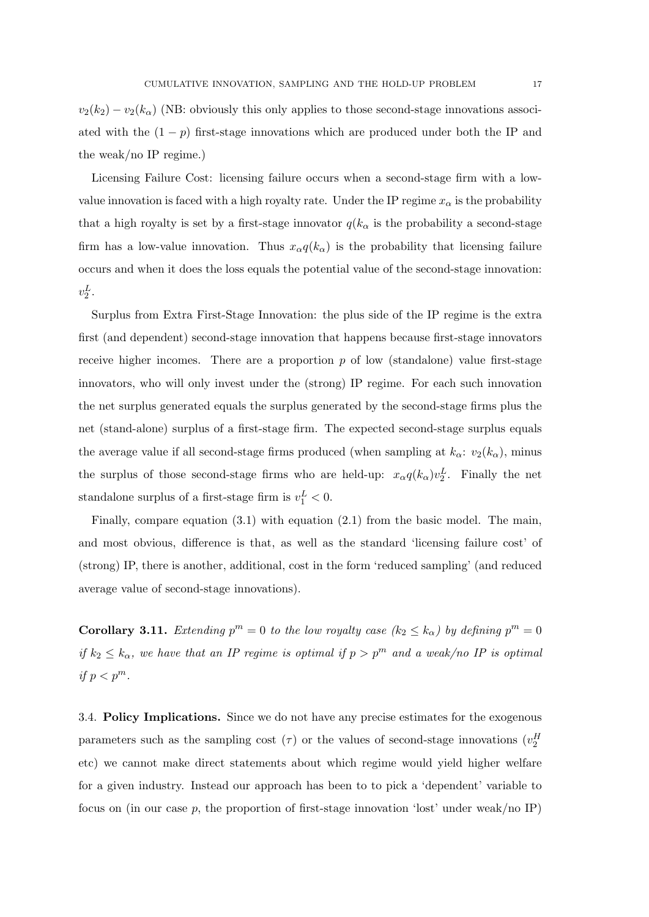$v_2(k_2) - v_2(k_0)$  (NB: obviously this only applies to those second-stage innovations associated with the  $(1 - p)$  first-stage innovations which are produced under both the IP and the weak/no IP regime.)

Licensing Failure Cost: licensing failure occurs when a second-stage firm with a lowvalue innovation is faced with a high royalty rate. Under the IP regime  $x_{\alpha}$  is the probability that a high royalty is set by a first-stage innovator  $q(k_{\alpha}$  is the probability a second-stage firm has a low-value innovation. Thus  $x_{\alpha}q(k_{\alpha})$  is the probability that licensing failure occurs and when it does the loss equals the potential value of the second-stage innovation:  $v_2^L$ .

Surplus from Extra First-Stage Innovation: the plus side of the IP regime is the extra first (and dependent) second-stage innovation that happens because first-stage innovators receive higher incomes. There are a proportion  $p$  of low (standalone) value first-stage innovators, who will only invest under the (strong) IP regime. For each such innovation the net surplus generated equals the surplus generated by the second-stage firms plus the net (stand-alone) surplus of a first-stage firm. The expected second-stage surplus equals the average value if all second-stage firms produced (when sampling at  $k_{\alpha}$ :  $v_2(k_{\alpha})$ , minus the surplus of those second-stage firms who are held-up:  $x_{\alpha}q(k_{\alpha})v_2^L$ . Finally the net standalone surplus of a first-stage firm is  $v_1^L < 0$ .

Finally, compare equation  $(3.1)$  with equation  $(2.1)$  from the basic model. The main, and most obvious, difference is that, as well as the standard 'licensing failure cost' of (strong) IP, there is another, additional, cost in the form 'reduced sampling' (and reduced average value of second-stage innovations).

**Corollary 3.11.** Extending  $p^m = 0$  to the low royalty case  $(k_2 \le k_\alpha)$  by defining  $p^m = 0$ if  $k_2 \leq k_\alpha$ , we have that an IP regime is optimal if  $p > p^m$  and a weak/no IP is optimal if  $p < p^m$ .

3.4. Policy Implications. Since we do not have any precise estimates for the exogenous parameters such as the sampling cost  $(\tau)$  or the values of second-stage innovations  $(v_2^H)$ etc) we cannot make direct statements about which regime would yield higher welfare for a given industry. Instead our approach has been to to pick a 'dependent' variable to focus on (in our case p, the proportion of first-stage innovation 'lost' under weak/no IP)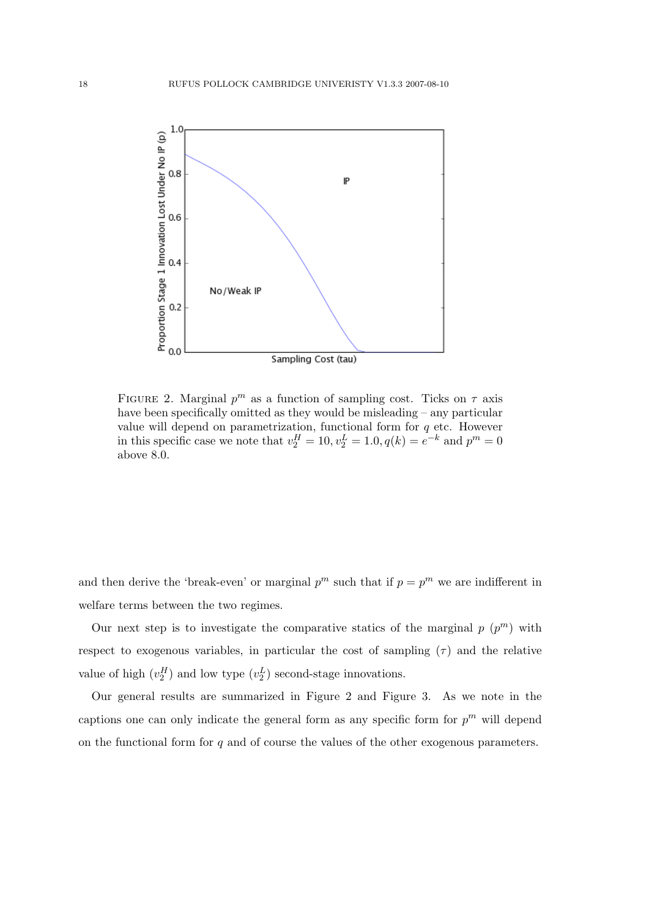

FIGURE 2. Marginal  $p^m$  as a function of sampling cost. Ticks on  $\tau$  axis have been specifically omitted as they would be misleading – any particular value will depend on parametrization, functional form for  $q$  etc. However in this specific case we note that  $v_2^H = 10$ ,  $v_2^L = 1.0$ ,  $q(k) = e^{-k}$  and  $p^m = 0$ above 8.0.

and then derive the 'break-even' or marginal  $p^m$  such that if  $p = p^m$  we are indifferent in welfare terms between the two regimes.

Our next step is to investigate the comparative statics of the marginal  $p(p^m)$  with respect to exogenous variables, in particular the cost of sampling  $(\tau)$  and the relative value of high  $(v_2^H)$  and low type  $(v_2^L)$  second-stage innovations.

Our general results are summarized in Figure 2 and Figure 3. As we note in the captions one can only indicate the general form as any specific form for  $p^m$  will depend on the functional form for  $q$  and of course the values of the other exogenous parameters.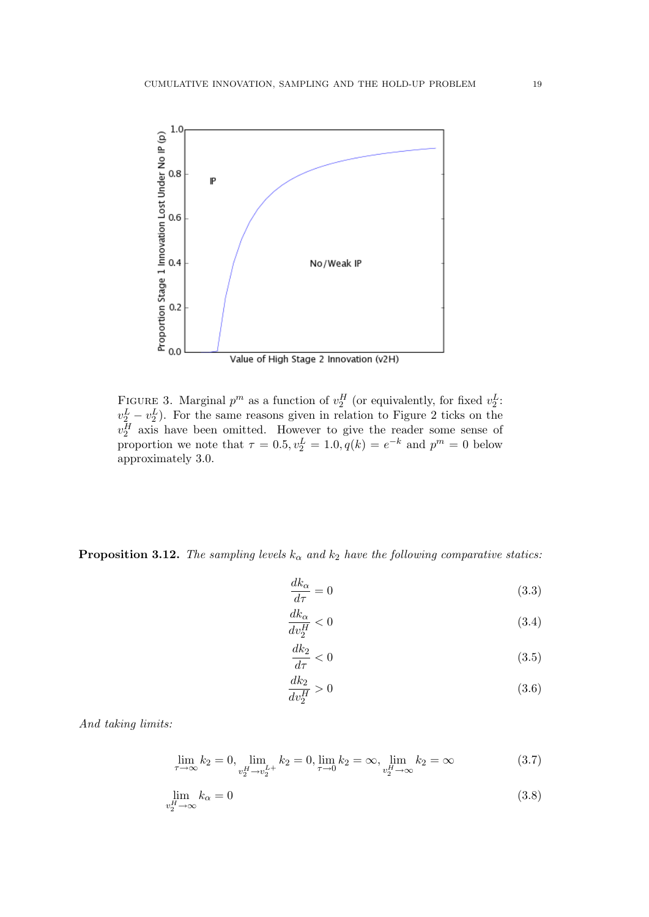

FIGURE 3. Marginal  $p^m$  as a function of  $v_2^H$  (or equivalently, for fixed  $v_2^L$ :  $v_2^L - v_2^L$ ). For the same reasons given in relation to Figure 2 ticks on the  $v_2^H$  axis have been omitted. However to give the reader some sense of proportion we note that  $\tau = 0.5, v_2^L = 1.0, q(k) = e^{-k}$  and  $p^m = 0$  below approximately 3.0.

**Proposition 3.12.** The sampling levels  $k_{\alpha}$  and  $k_2$  have the following comparative statics:

$$
\frac{dk_{\alpha}}{d\tau} = 0\tag{3.3}
$$

$$
\frac{dk_{\alpha}}{dv_2^H} < 0\tag{3.4}
$$

$$
\frac{dk_2}{d\tau} < 0\tag{3.5}
$$

$$
\frac{dk_2}{dv_2^H} > 0\tag{3.6}
$$

And taking limits:

$$
\lim_{\tau \to \infty} k_2 = 0, \lim_{\substack{v_2^H \to v_2^{L+} \\ v_2^H \to v_2^{L+}}} k_2 = 0, \lim_{\tau \to 0} k_2 = \infty, \lim_{\substack{v_2^H \to \infty \\ v_2^H \to \infty}} k_2 = \infty
$$
\n(3.7)

$$
\lim_{v_2^H \to \infty} k_\alpha = 0 \tag{3.8}
$$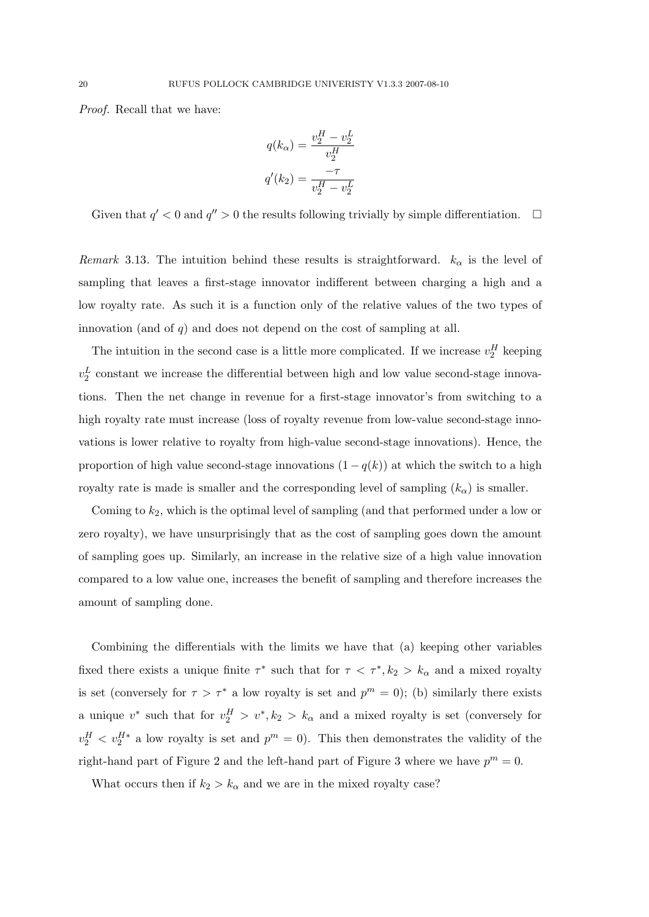Proof. Recall that we have:

$$
q(k_{\alpha}) = \frac{v_2^H - v_2^L}{v_2^H}
$$

$$
q'(k_2) = \frac{-\tau}{v_2^H - v_2^L}
$$

Given that  $q' < 0$  and  $q'' > 0$  the results following trivially by simple differentiation.  $\Box$ 

Remark 3.13. The intuition behind these results is straightforward.  $k_{\alpha}$  is the level of sampling that leaves a first-stage innovator indifferent between charging a high and a low royalty rate. As such it is a function only of the relative values of the two types of innovation (and of  $q$ ) and does not depend on the cost of sampling at all.

The intuition in the second case is a little more complicated. If we increase  $v_2^H$  keeping  $v_2^L$  constant we increase the differential between high and low value second-stage innovations. Then the net change in revenue for a first-stage innovator's from switching to a high royalty rate must increase (loss of royalty revenue from low-value second-stage innovations is lower relative to royalty from high-value second-stage innovations). Hence, the proportion of high value second-stage innovations  $(1 - q(k))$  at which the switch to a high royalty rate is made is smaller and the corresponding level of sampling  $(k_{\alpha})$  is smaller.

Coming to  $k_2$ , which is the optimal level of sampling (and that performed under a low or zero royalty), we have unsurprisingly that as the cost of sampling goes down the amount of sampling goes up. Similarly, an increase in the relative size of a high value innovation compared to a low value one, increases the benefit of sampling and therefore increases the amount of sampling done.

Combining the differentials with the limits we have that (a) keeping other variables fixed there exists a unique finite  $\tau^*$  such that for  $\tau < \tau^*, k_2 > k_\alpha$  and a mixed royalty is set (conversely for  $\tau > \tau^*$  a low royalty is set and  $p^m = 0$ ); (b) similarly there exists a unique  $v^*$  such that for  $v_2^H > v^*, k_2 > k_\alpha$  and a mixed royalty is set (conversely for  $v_2^H$   $\langle v_2^H * a \rangle$  low royalty is set and  $p^m = 0$ ). This then demonstrates the validity of the right-hand part of Figure 2 and the left-hand part of Figure 3 where we have  $p^m = 0$ .

What occurs then if  $k_2 > k_\alpha$  and we are in the mixed royalty case?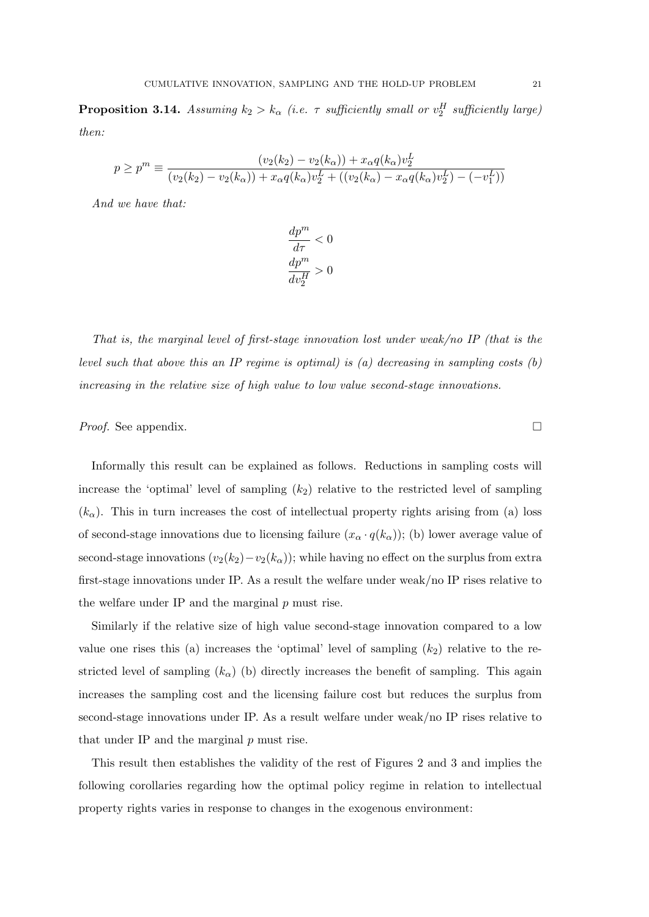**Proposition 3.14.** Assuming  $k_2 > k_\alpha$  (i.e.  $\tau$  sufficiently small or  $v_2^H$  sufficiently large) then:

$$
p \ge p^m \equiv \frac{(v_2(k_2) - v_2(k_\alpha)) + x_\alpha q(k_\alpha)v_2^L}{(v_2(k_2) - v_2(k_\alpha)) + x_\alpha q(k_\alpha)v_2^L + ((v_2(k_\alpha) - x_\alpha q(k_\alpha)v_2^L) - (-v_1^L))}
$$

And we have that:

$$
\begin{aligned} \frac{dp^m}{d\tau} &< 0\\ \frac{dp^m}{dv_2^H} &> 0 \end{aligned}
$$

That is, the marginal level of first-stage innovation lost under weak/no IP (that is the level such that above this an IP regime is optimal) is  $(a)$  decreasing in sampling costs  $(b)$ increasing in the relative size of high value to low value second-stage innovations.

*Proof.* See appendix.  $\Box$ 

Informally this result can be explained as follows. Reductions in sampling costs will increase the 'optimal' level of sampling  $(k_2)$  relative to the restricted level of sampling  $(k_{\alpha})$ . This in turn increases the cost of intellectual property rights arising from (a) loss of second-stage innovations due to licensing failure  $(x_\alpha \cdot q(k_\alpha))$ ; (b) lower average value of second-stage innovations  $(v_2(k_2)-v_2(k_\alpha))$ ; while having no effect on the surplus from extra first-stage innovations under IP. As a result the welfare under weak/no IP rises relative to the welfare under IP and the marginal  $p$  must rise.

Similarly if the relative size of high value second-stage innovation compared to a low value one rises this (a) increases the 'optimal' level of sampling  $(k_2)$  relative to the restricted level of sampling  $(k_{\alpha})$  (b) directly increases the benefit of sampling. This again increases the sampling cost and the licensing failure cost but reduces the surplus from second-stage innovations under IP. As a result welfare under weak/no IP rises relative to that under IP and the marginal p must rise.

This result then establishes the validity of the rest of Figures 2 and 3 and implies the following corollaries regarding how the optimal policy regime in relation to intellectual property rights varies in response to changes in the exogenous environment: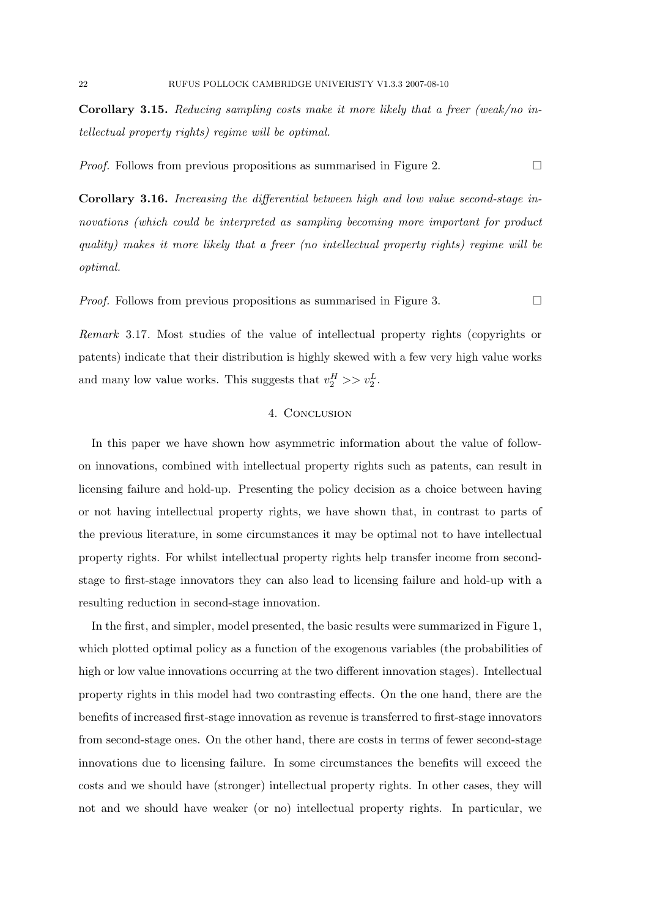Corollary 3.15. Reducing sampling costs make it more likely that a freer (weak/no intellectual property rights) regime will be optimal.

*Proof.* Follows from previous propositions as summarised in Figure 2.

Corollary 3.16. Increasing the differential between high and low value second-stage innovations (which could be interpreted as sampling becoming more important for product quality) makes it more likely that a freer (no intellectual property rights) regime will be optimal.

*Proof.* Follows from previous propositions as summarised in Figure 3.

Remark 3.17. Most studies of the value of intellectual property rights (copyrights or patents) indicate that their distribution is highly skewed with a few very high value works and many low value works. This suggests that  $v_2^H \gg v_2^L$ .

# 4. CONCLUSION

In this paper we have shown how asymmetric information about the value of followon innovations, combined with intellectual property rights such as patents, can result in licensing failure and hold-up. Presenting the policy decision as a choice between having or not having intellectual property rights, we have shown that, in contrast to parts of the previous literature, in some circumstances it may be optimal not to have intellectual property rights. For whilst intellectual property rights help transfer income from secondstage to first-stage innovators they can also lead to licensing failure and hold-up with a resulting reduction in second-stage innovation.

In the first, and simpler, model presented, the basic results were summarized in Figure 1, which plotted optimal policy as a function of the exogenous variables (the probabilities of high or low value innovations occurring at the two different innovation stages). Intellectual property rights in this model had two contrasting effects. On the one hand, there are the benefits of increased first-stage innovation as revenue is transferred to first-stage innovators from second-stage ones. On the other hand, there are costs in terms of fewer second-stage innovations due to licensing failure. In some circumstances the benefits will exceed the costs and we should have (stronger) intellectual property rights. In other cases, they will not and we should have weaker (or no) intellectual property rights. In particular, we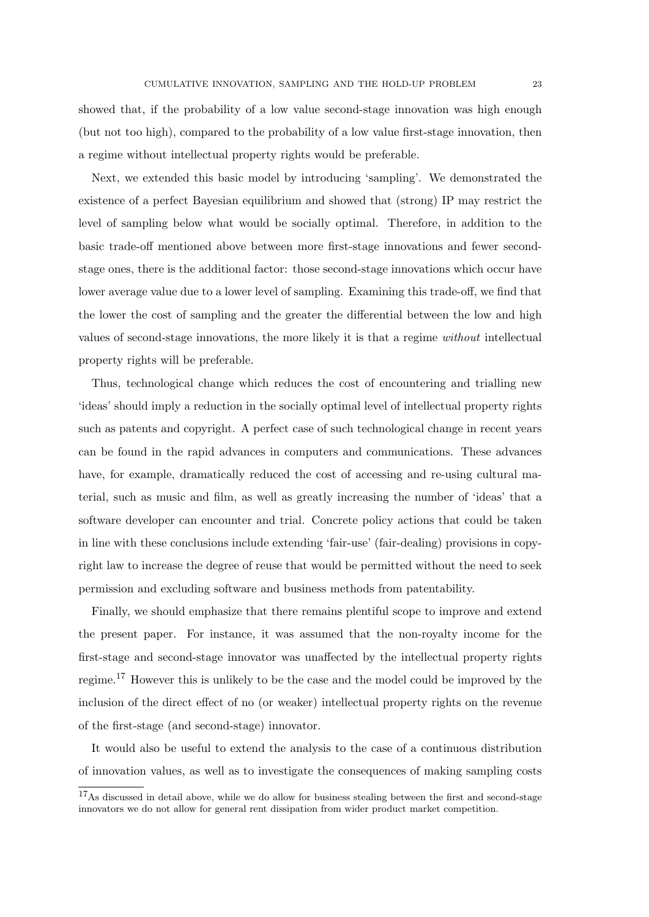showed that, if the probability of a low value second-stage innovation was high enough (but not too high), compared to the probability of a low value first-stage innovation, then a regime without intellectual property rights would be preferable.

Next, we extended this basic model by introducing 'sampling'. We demonstrated the existence of a perfect Bayesian equilibrium and showed that (strong) IP may restrict the level of sampling below what would be socially optimal. Therefore, in addition to the basic trade-off mentioned above between more first-stage innovations and fewer secondstage ones, there is the additional factor: those second-stage innovations which occur have lower average value due to a lower level of sampling. Examining this trade-off, we find that the lower the cost of sampling and the greater the differential between the low and high values of second-stage innovations, the more likely it is that a regime without intellectual property rights will be preferable.

Thus, technological change which reduces the cost of encountering and trialling new 'ideas' should imply a reduction in the socially optimal level of intellectual property rights such as patents and copyright. A perfect case of such technological change in recent years can be found in the rapid advances in computers and communications. These advances have, for example, dramatically reduced the cost of accessing and re-using cultural material, such as music and film, as well as greatly increasing the number of 'ideas' that a software developer can encounter and trial. Concrete policy actions that could be taken in line with these conclusions include extending 'fair-use' (fair-dealing) provisions in copyright law to increase the degree of reuse that would be permitted without the need to seek permission and excluding software and business methods from patentability.

Finally, we should emphasize that there remains plentiful scope to improve and extend the present paper. For instance, it was assumed that the non-royalty income for the first-stage and second-stage innovator was unaffected by the intellectual property rights regime.<sup>17</sup> However this is unlikely to be the case and the model could be improved by the inclusion of the direct effect of no (or weaker) intellectual property rights on the revenue of the first-stage (and second-stage) innovator.

It would also be useful to extend the analysis to the case of a continuous distribution of innovation values, as well as to investigate the consequences of making sampling costs

<sup>&</sup>lt;sup>17</sup>As discussed in detail above, while we do allow for business stealing between the first and second-stage innovators we do not allow for general rent dissipation from wider product market competition.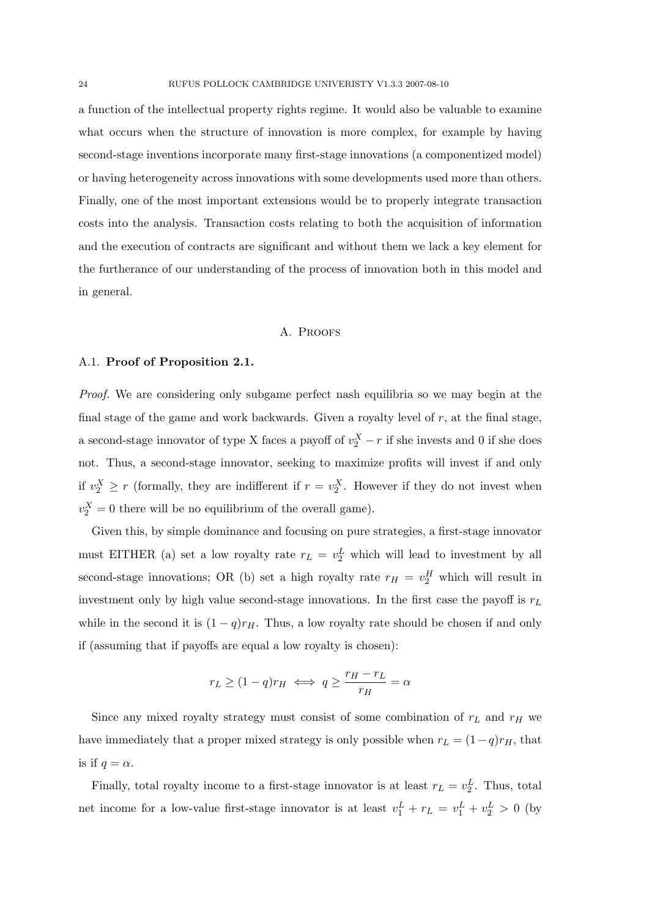a function of the intellectual property rights regime. It would also be valuable to examine what occurs when the structure of innovation is more complex, for example by having second-stage inventions incorporate many first-stage innovations (a componentized model) or having heterogeneity across innovations with some developments used more than others. Finally, one of the most important extensions would be to properly integrate transaction costs into the analysis. Transaction costs relating to both the acquisition of information and the execution of contracts are significant and without them we lack a key element for the furtherance of our understanding of the process of innovation both in this model and in general.

## A. Proofs

## A.1. Proof of Proposition 2.1.

Proof. We are considering only subgame perfect nash equilibria so we may begin at the final stage of the game and work backwards. Given a royalty level of  $r$ , at the final stage, a second-stage innovator of type X faces a payoff of  $v_2^X - r$  if she invests and 0 if she does not. Thus, a second-stage innovator, seeking to maximize profits will invest if and only if  $v_2^X \ge r$  (formally, they are indifferent if  $r = v_2^X$ . However if they do not invest when  $v_2^X = 0$  there will be no equilibrium of the overall game).

Given this, by simple dominance and focusing on pure strategies, a first-stage innovator must EITHER (a) set a low royalty rate  $r_L = v_2^L$  which will lead to investment by all second-stage innovations; OR (b) set a high royalty rate  $r_H = v_2^H$  which will result in investment only by high value second-stage innovations. In the first case the payoff is  $r<sub>L</sub>$ while in the second it is  $(1 - q)r_H$ . Thus, a low royalty rate should be chosen if and only if (assuming that if payoffs are equal a low royalty is chosen):

$$
r_L \ge (1-q)r_H \iff q \ge \frac{r_H - r_L}{r_H} = \alpha
$$

Since any mixed royalty strategy must consist of some combination of  $r<sub>L</sub>$  and  $r<sub>H</sub>$  we have immediately that a proper mixed strategy is only possible when  $r_L = (1-q)r_H$ , that is if  $q = \alpha$ .

Finally, total royalty income to a first-stage innovator is at least  $r_L = v_2^L$ . Thus, total net income for a low-value first-stage innovator is at least  $v_1^L + r_L = v_1^L + v_2^L > 0$  (by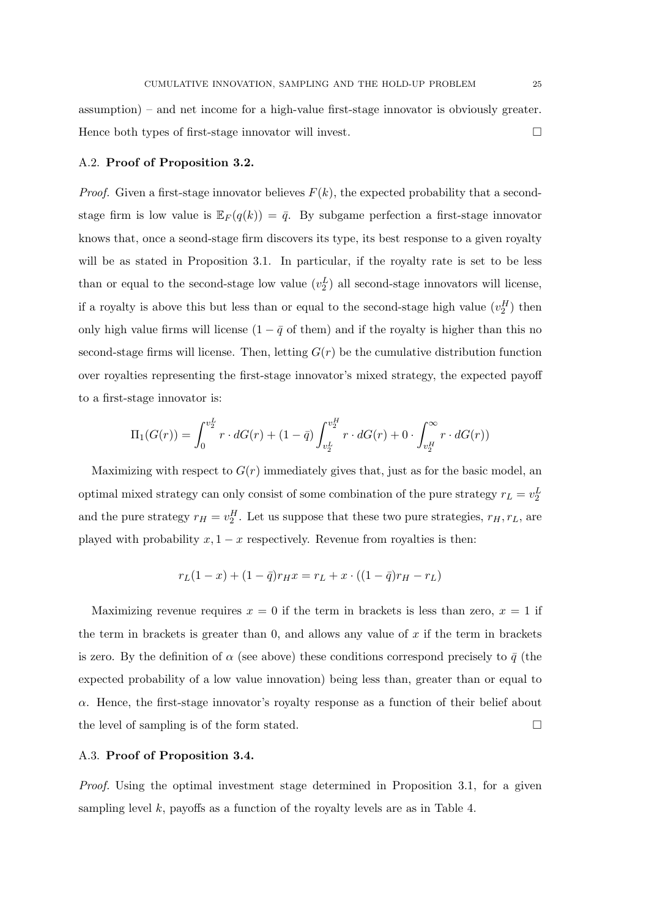assumption) – and net income for a high-value first-stage innovator is obviously greater. Hence both types of first-stage innovator will invest.

### A.2. Proof of Proposition 3.2.

*Proof.* Given a first-stage innovator believes  $F(k)$ , the expected probability that a secondstage firm is low value is  $\mathbb{E}_F(q(k)) = \bar{q}$ . By subgame perfection a first-stage innovator knows that, once a seond-stage firm discovers its type, its best response to a given royalty will be as stated in Proposition 3.1. In particular, if the royalty rate is set to be less than or equal to the second-stage low value  $(v_2^L)$  all second-stage innovators will license, if a royalty is above this but less than or equal to the second-stage high value  $(v_2^H)$  then only high value firms will license  $(1 - \bar{q}$  of them) and if the royalty is higher than this no second-stage firms will license. Then, letting  $G(r)$  be the cumulative distribution function over royalties representing the first-stage innovator's mixed strategy, the expected payoff to a first-stage innovator is:

$$
\Pi_1(G(r)) = \int_0^{v_2^L} r \cdot dG(r) + (1 - \bar{q}) \int_{v_2^L}^{v_2^H} r \cdot dG(r) + 0 \cdot \int_{v_2^H}^{\infty} r \cdot dG(r))
$$

Maximizing with respect to  $G(r)$  immediately gives that, just as for the basic model, an optimal mixed strategy can only consist of some combination of the pure strategy  $r_L = v_2^L$ and the pure strategy  $r_H = v_2^H$ . Let us suppose that these two pure strategies,  $r_H, r_L$ , are played with probability  $x, 1 - x$  respectively. Revenue from royalties is then:

$$
r_L(1-x) + (1 - \bar{q})r_H x = r_L + x \cdot ((1 - \bar{q})r_H - r_L)
$$

Maximizing revenue requires  $x = 0$  if the term in brackets is less than zero,  $x = 1$  if the term in brackets is greater than  $0$ , and allows any value of  $x$  if the term in brackets is zero. By the definition of  $\alpha$  (see above) these conditions correspond precisely to  $\bar{q}$  (the expected probability of a low value innovation) being less than, greater than or equal to  $\alpha$ . Hence, the first-stage innovator's royalty response as a function of their belief about the level of sampling is of the form stated.

#### A.3. Proof of Proposition 3.4.

Proof. Using the optimal investment stage determined in Proposition 3.1, for a given sampling level  $k$ , payoffs as a function of the royalty levels are as in Table 4.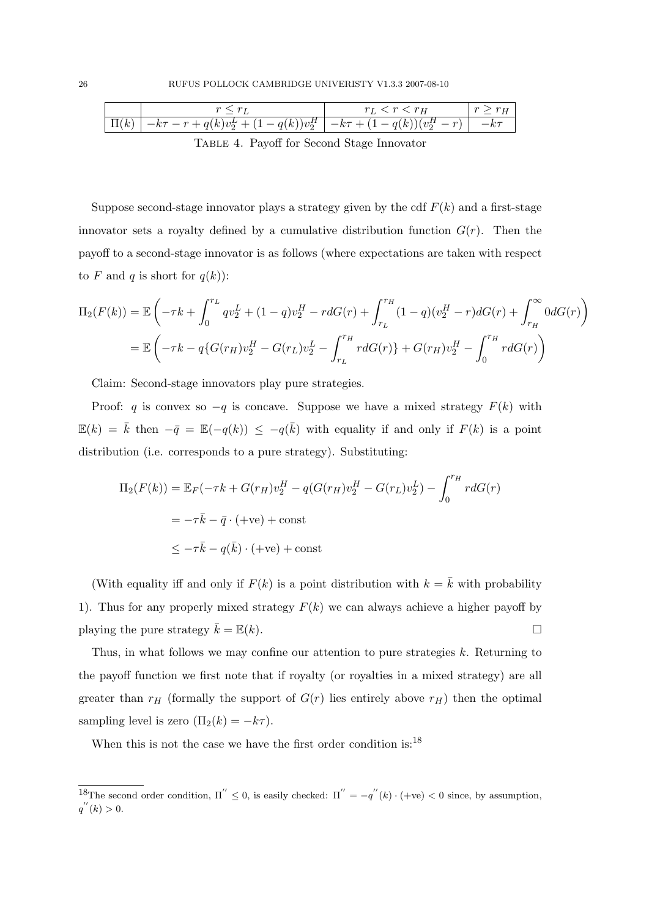|            |                                                                               | $r_L < r < r_H$ |  |
|------------|-------------------------------------------------------------------------------|-----------------|--|
| $\prod(k)$ | $ -k\tau - r + q(k)v_2^L + (1 - q(k))v_2^H  - k\tau + (1 - q(k))(v_2^H - r) $ |                 |  |

Table 4. Payoff for Second Stage Innovator

Suppose second-stage innovator plays a strategy given by the cdf  $F(k)$  and a first-stage innovator sets a royalty defined by a cumulative distribution function  $G(r)$ . Then the payoff to a second-stage innovator is as follows (where expectations are taken with respect to F and q is short for  $q(k)$ :

$$
\Pi_2(F(k)) = \mathbb{E}\left(-\tau k + \int_0^{r_L} q v_2^L + (1-q)v_2^H - r dG(r) + \int_{r_L}^{r_H} (1-q)(v_2^H - r) dG(r) + \int_{r_H}^{\infty} 0 dG(r)\right)
$$
  
= 
$$
\mathbb{E}\left(-\tau k - q\{G(r_H)v_2^H - G(r_L)v_2^L - \int_{r_L}^{r_H} r dG(r)\} + G(r_H)v_2^H - \int_0^{r_H} r dG(r)\right)
$$

Claim: Second-stage innovators play pure strategies.

Proof: q is convex so  $-q$  is concave. Suppose we have a mixed strategy  $F(k)$  with  $\mathbb{E}(k) = \bar{k}$  then  $-\bar{q} = \mathbb{E}(-q(k)) \le -q(\bar{k})$  with equality if and only if  $F(k)$  is a point distribution (i.e. corresponds to a pure strategy). Substituting:

$$
\Pi_2(F(k)) = \mathbb{E}_F(-\tau k + G(r_H)v_2^H - q(G(r_H)v_2^H - G(r_L)v_2^L) - \int_0^{r_H} r dG(r)
$$

$$
= -\tau \bar{k} - \bar{q} \cdot (+ve) + \text{const}
$$

$$
\leq -\tau \bar{k} - q(\bar{k}) \cdot (+ve) + \text{const}
$$

(With equality iff and only if  $F(k)$  is a point distribution with  $k = \overline{k}$  with probability 1). Thus for any properly mixed strategy  $F(k)$  we can always achieve a higher payoff by playing the pure strategy  $\bar{k} = \mathbb{E}(k)$ .

Thus, in what follows we may confine our attention to pure strategies k. Returning to the payoff function we first note that if royalty (or royalties in a mixed strategy) are all greater than  $r_H$  (formally the support of  $G(r)$  lies entirely above  $r_H$ ) then the optimal sampling level is zero  $(\Pi_2(k) = -k\tau)$ .

When this is not the case we have the first order condition is:<sup>18</sup>

<sup>&</sup>lt;sup>18</sup>The second order condition,  $\Pi'' \leq 0$ , is easily checked:  $\Pi'' = -q''(k) \cdot (+ve) < 0$  since, by assumption,  $q''(k) > 0.$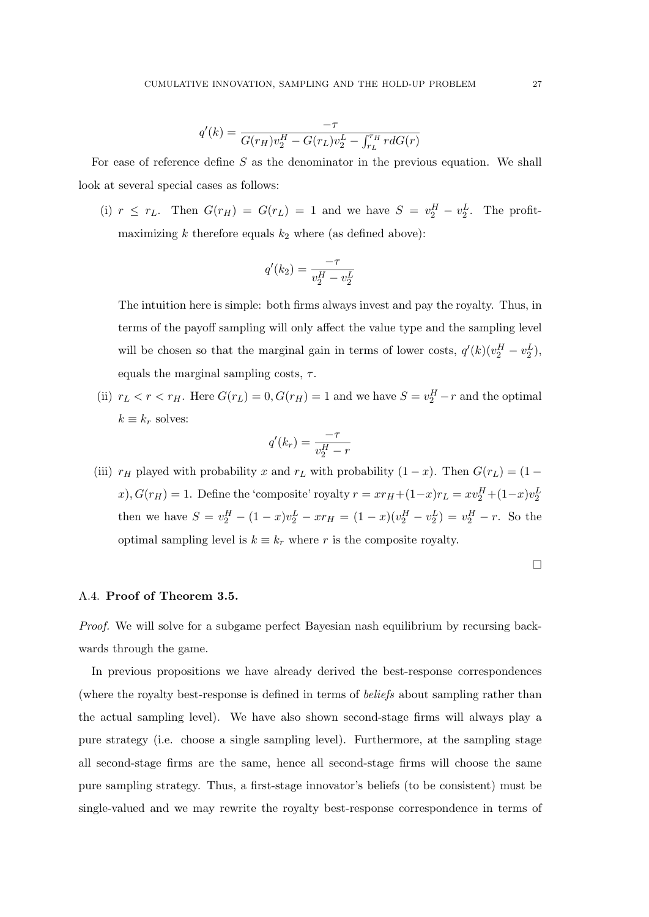$$
q'(k) = \frac{-\tau}{G(r_H)v_2^H - G(r_L)v_2^L - \int_{r_L}^{r_H} r dG(r)}
$$

For ease of reference define  $S$  as the denominator in the previous equation. We shall look at several special cases as follows:

(i)  $r \leq r_L$ . Then  $G(r_H) = G(r_L) = 1$  and we have  $S = v_2^H - v_2^L$ . The profitmaximizing  $k$  therefore equals  $k_2$  where (as defined above):

$$
q'(k_2) = \frac{-\tau}{v_2^H - v_2^L}
$$

The intuition here is simple: both firms always invest and pay the royalty. Thus, in terms of the payoff sampling will only affect the value type and the sampling level will be chosen so that the marginal gain in terms of lower costs,  $q'(k)(v_2^H - v_2^L)$ , equals the marginal sampling costs,  $\tau$ .

(ii)  $r_L < r < r_H$ . Here  $G(r_L) = 0, G(r_H) = 1$  and we have  $S = v_2^H - r$  and the optimal  $k \equiv k_r$  solves:

$$
q'(k_r) = \frac{-\tau}{v_2^H - r}
$$

(iii)  $r_H$  played with probability x and  $r_L$  with probability  $(1-x)$ . Then  $G(r_L) = (1$ x),  $G(r_H) = 1$ . Define the 'composite' royalty  $r = xr_H + (1-x)r_L = xv_2^H + (1-x)v_2^L$ then we have  $S = v_2^H - (1-x)v_2^L - xr_H = (1-x)(v_2^H - v_2^L) = v_2^H - r$ . So the optimal sampling level is  $k \equiv k_r$  where r is the composite royalty.

 $\Box$ 

#### A.4. Proof of Theorem 3.5.

Proof. We will solve for a subgame perfect Bayesian nash equilibrium by recursing backwards through the game.

In previous propositions we have already derived the best-response correspondences (where the royalty best-response is defined in terms of beliefs about sampling rather than the actual sampling level). We have also shown second-stage firms will always play a pure strategy (i.e. choose a single sampling level). Furthermore, at the sampling stage all second-stage firms are the same, hence all second-stage firms will choose the same pure sampling strategy. Thus, a first-stage innovator's beliefs (to be consistent) must be single-valued and we may rewrite the royalty best-response correspondence in terms of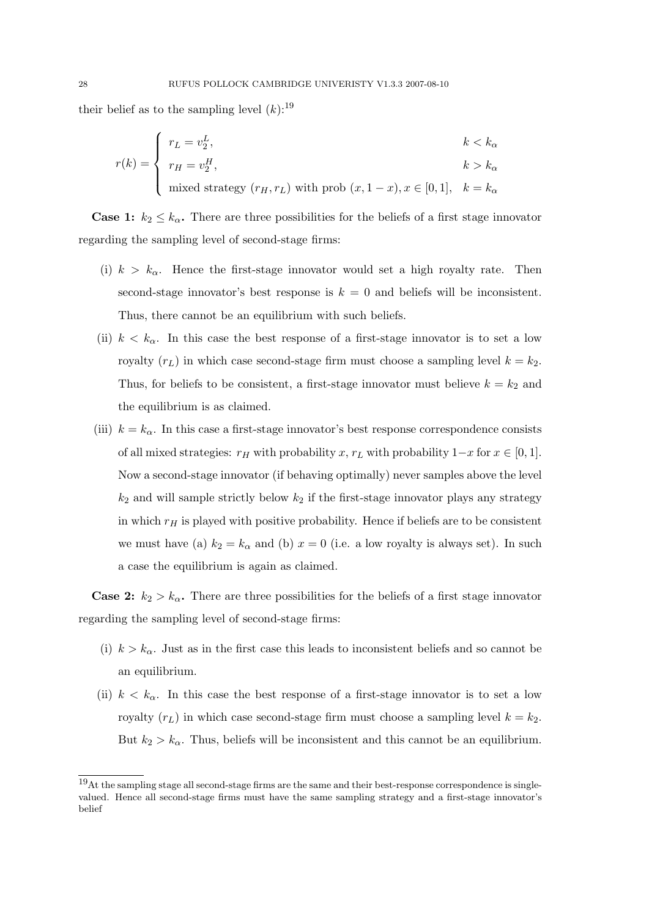their belief as to the sampling level  $(k)$ :<sup>19</sup>

$$
r(k) = \begin{cases} r_L = v_2^L, & k < k_\alpha \\ r_H = v_2^H, & k > k_\alpha \\ \text{mixed strategy } (r_H, r_L) \text{ with prob } (x, 1-x), x \in [0, 1], & k = k_\alpha \end{cases}
$$

**Case 1:**  $k_2 \leq k_\alpha$ . There are three possibilities for the beliefs of a first stage innovator regarding the sampling level of second-stage firms:

- (i)  $k > k<sub>\alpha</sub>$ . Hence the first-stage innovator would set a high royalty rate. Then second-stage innovator's best response is  $k = 0$  and beliefs will be inconsistent. Thus, there cannot be an equilibrium with such beliefs.
- (ii)  $k < k_{\alpha}$ . In this case the best response of a first-stage innovator is to set a low royalty  $(r_L)$  in which case second-stage firm must choose a sampling level  $k = k_2$ . Thus, for beliefs to be consistent, a first-stage innovator must believe  $k = k_2$  and the equilibrium is as claimed.
- (iii)  $k = k_{\alpha}$ . In this case a first-stage innovator's best response correspondence consists of all mixed strategies:  $r_H$  with probability x,  $r_L$  with probability  $1-x$  for  $x \in [0,1]$ . Now a second-stage innovator (if behaving optimally) never samples above the level  $k_2$  and will sample strictly below  $k_2$  if the first-stage innovator plays any strategy in which  $r_H$  is played with positive probability. Hence if beliefs are to be consistent we must have (a)  $k_2 = k_\alpha$  and (b)  $x = 0$  (i.e. a low royalty is always set). In such a case the equilibrium is again as claimed.

**Case 2:**  $k_2 > k_\alpha$ . There are three possibilities for the beliefs of a first stage innovator regarding the sampling level of second-stage firms:

- (i)  $k > k_{\alpha}$ . Just as in the first case this leads to inconsistent beliefs and so cannot be an equilibrium.
- (ii)  $k < k_{\alpha}$ . In this case the best response of a first-stage innovator is to set a low royalty  $(r_L)$  in which case second-stage firm must choose a sampling level  $k = k_2$ . But  $k_2 > k_\alpha$ . Thus, beliefs will be inconsistent and this cannot be an equilibrium.

<sup>19</sup>At the sampling stage all second-stage firms are the same and their best-response correspondence is singlevalued. Hence all second-stage firms must have the same sampling strategy and a first-stage innovator's belief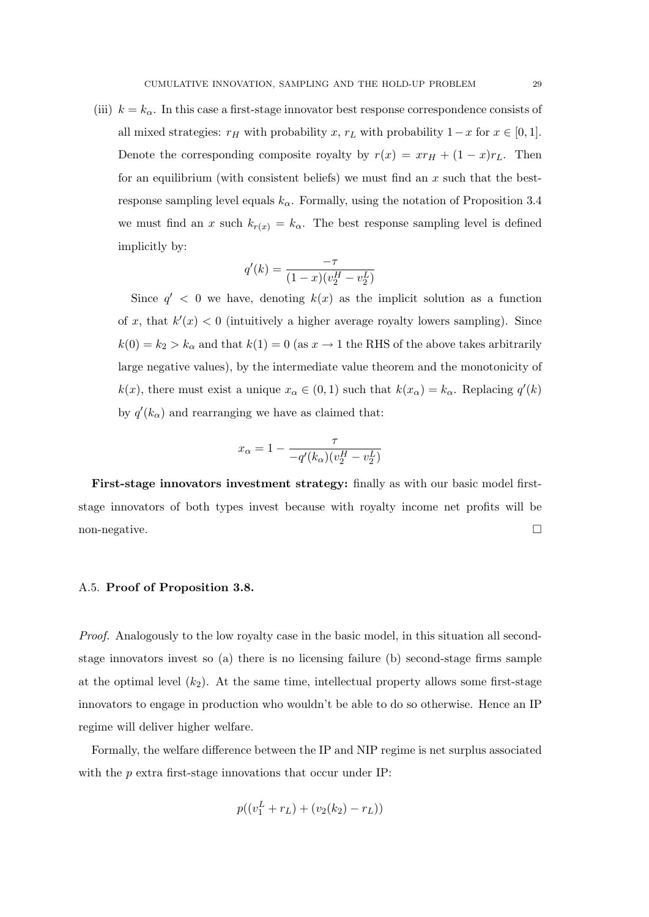(iii)  $k = k_{\alpha}$ . In this case a first-stage innovator best response correspondence consists of all mixed strategies:  $r_H$  with probability  $x, r_L$  with probability  $1-x$  for  $x \in [0,1]$ . Denote the corresponding composite royalty by  $r(x) = xr_H + (1 - x)r_L$ . Then for an equilibrium (with consistent beliefs) we must find an  $x$  such that the bestresponse sampling level equals  $k_{\alpha}$ . Formally, using the notation of Proposition 3.4 we must find an x such  $k_{r(x)} = k_{\alpha}$ . The best response sampling level is defined implicitly by:

$$
q'(k) = \frac{-\tau}{(1-x)(v_2^H - v_2^L)}
$$

Since  $q' < 0$  we have, denoting  $k(x)$  as the implicit solution as a function of x, that  $k'(x) < 0$  (intuitively a higher average royalty lowers sampling). Since  $k(0) = k_2 > k_\alpha$  and that  $k(1) = 0$  (as  $x \to 1$  the RHS of the above takes arbitrarily large negative values), by the intermediate value theorem and the monotonicity of  $k(x)$ , there must exist a unique  $x_{\alpha} \in (0,1)$  such that  $k(x_{\alpha}) = k_{\alpha}$ . Replacing  $q'(k)$ by  $q'(k_{\alpha})$  and rearranging we have as claimed that:

$$
x_{\alpha} = 1 - \frac{\tau}{-q'(k_{\alpha})(v_2^H - v_2^L)}
$$

First-stage innovators investment strategy: finally as with our basic model firststage innovators of both types invest because with royalty income net profits will be non-negative.

#### A.5. Proof of Proposition 3.8.

Proof. Analogously to the low royalty case in the basic model, in this situation all secondstage innovators invest so (a) there is no licensing failure (b) second-stage firms sample at the optimal level  $(k_2)$ . At the same time, intellectual property allows some first-stage innovators to engage in production who wouldn't be able to do so otherwise. Hence an IP regime will deliver higher welfare.

Formally, the welfare difference between the IP and NIP regime is net surplus associated with the p extra first-stage innovations that occur under IP:

$$
p((v_1^L + r_L) + (v_2(k_2) - r_L))
$$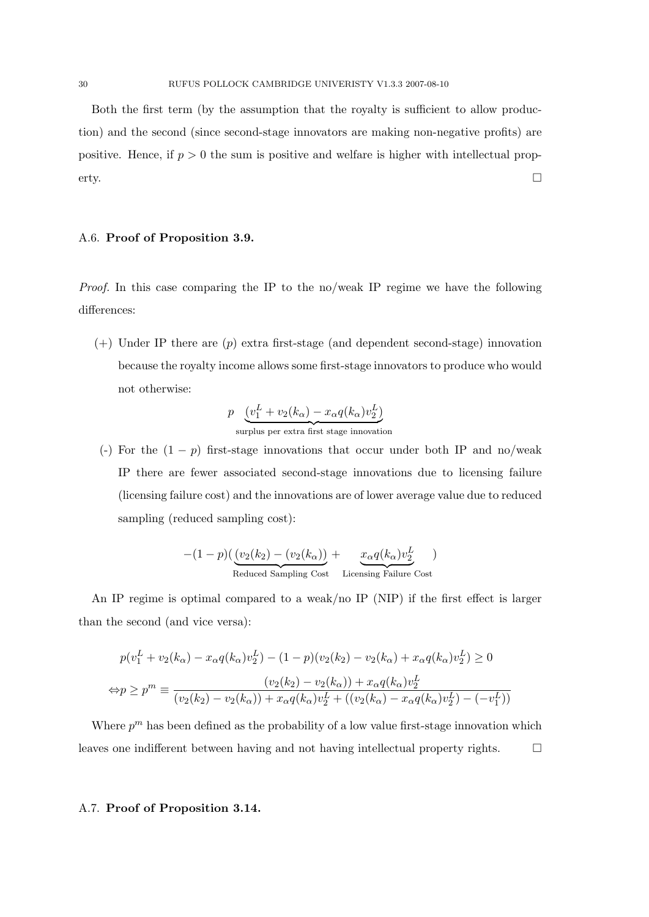Both the first term (by the assumption that the royalty is sufficient to allow production) and the second (since second-stage innovators are making non-negative profits) are positive. Hence, if  $p > 0$  the sum is positive and welfare is higher with intellectual property.

## A.6. Proof of Proposition 3.9.

Proof. In this case comparing the IP to the no/weak IP regime we have the following differences:

 $(+)$  Under IP there are  $(p)$  extra first-stage (and dependent second-stage) innovation because the royalty income allows some first-stage innovators to produce who would not otherwise:

$$
p \underbrace{(v_1^L + v_2(k_\alpha) - x_\alpha q(k_\alpha)v_2^L)}_{\text{surplus per extra first stage innovation}}
$$

(-) For the  $(1 - p)$  first-stage innovations that occur under both IP and no/weak IP there are fewer associated second-stage innovations due to licensing failure (licensing failure cost) and the innovations are of lower average value due to reduced sampling (reduced sampling cost):

$$
-(1-p)\left(\underbrace{(v_2(k_2)-(v_2(k_{\alpha}))}_{\text{Reduced Sampling Cost}}+\underbrace{x_{\alpha}q(k_{\alpha})v_2^L}_{\text{Licensing Failure Cost}}\right)
$$

An IP regime is optimal compared to a weak/no IP (NIP) if the first effect is larger than the second (and vice versa):

$$
p(v_1^L + v_2(k_\alpha) - x_\alpha q(k_\alpha)v_2^L) - (1 - p)(v_2(k_2) - v_2(k_\alpha) + x_\alpha q(k_\alpha)v_2^L) \ge 0
$$
  

$$
\Leftrightarrow p \ge p^m \equiv \frac{(v_2(k_2) - v_2(k_\alpha)) + x_\alpha q(k_\alpha)v_2^L}{(v_2(k_2) - v_2(k_\alpha)) + x_\alpha q(k_\alpha)v_2^L + ((v_2(k_\alpha) - x_\alpha q(k_\alpha)v_2^L) - (-v_1^L))}
$$

Where  $p^m$  has been defined as the probability of a low value first-stage innovation which leaves one indifferent between having and not having intellectual property rights.

## A.7. Proof of Proposition 3.14.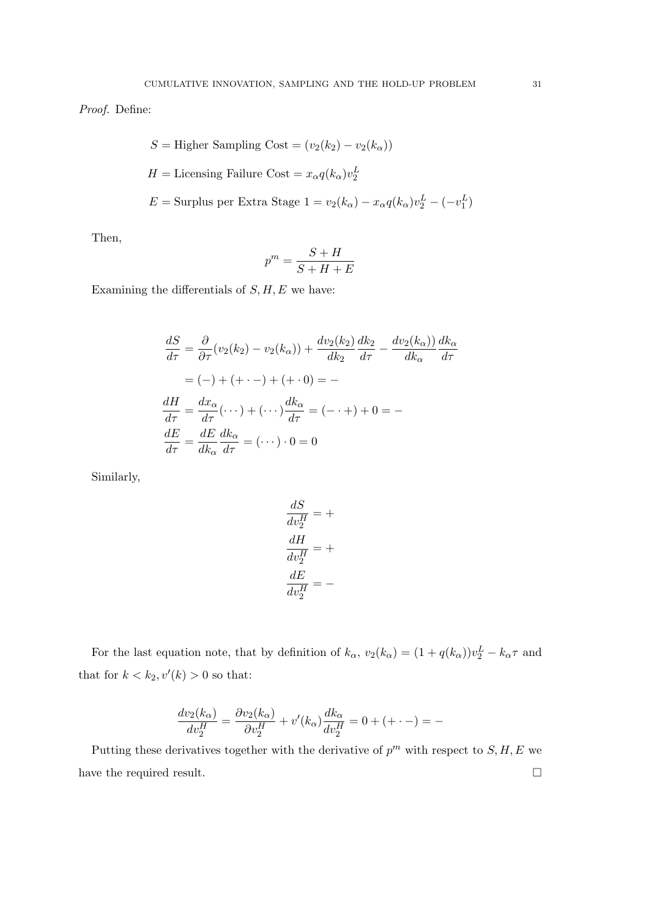Proof. Define:

$$
S =
$$
 Higher Sampling Cost =  $(v_2(k_2) - v_2(k_\alpha))$   

$$
H =
$$
Licensing Failure Cost =  $x_\alpha q(k_\alpha) v_2^L$   

$$
E =
$$
 Surplus per Extra Stage 1 =  $v_2(k_\alpha) - x_\alpha q(k_\alpha) v_2^L - (-v_1^L)$ 

Then,

$$
p^m = \frac{S+H}{S+H+E}
$$

Examining the differentials of  $S, H, E$  we have:

$$
\frac{dS}{d\tau} = \frac{\partial}{\partial \tau} (v_2(k_2) - v_2(k_\alpha)) + \frac{dv_2(k_2)}{dk_2} \frac{dk_2}{d\tau} - \frac{dv_2(k_\alpha)}{dk_\alpha} \frac{dk_\alpha}{d\tau}
$$

$$
= (-) + (+ \cdot -) + (+ \cdot 0) = -
$$

$$
\frac{dH}{d\tau} = \frac{dx_\alpha}{d\tau} (\cdot \cdot \cdot) + (\cdot \cdot \cdot) \frac{dk_\alpha}{d\tau} = (- \cdot +) + 0 = -
$$

$$
\frac{dE}{d\tau} = \frac{dE}{dk_\alpha} \frac{dk_\alpha}{d\tau} = (\cdot \cdot \cdot) \cdot 0 = 0
$$

Similarly,

$$
\frac{dS}{dv_2^H} = +
$$
  

$$
\frac{dH}{dv_2^H} = +
$$
  

$$
\frac{dE}{dv_2^H} = -
$$

For the last equation note, that by definition of  $k_{\alpha}$ ,  $v_2(k_{\alpha}) = (1 + q(k_{\alpha}))v_2^L - k_{\alpha}\tau$  and that for  $k < k_2, v'(k) > 0$  so that:

$$
\frac{dv_2(k_{\alpha})}{dv_2^H} = \frac{\partial v_2(k_{\alpha})}{\partial v_2^H} + v'(k_{\alpha})\frac{dk_{\alpha}}{dv_2^H} = 0 + (+ \cdot -) = -
$$

Putting these derivatives together with the derivative of  $p^m$  with respect to  $S, H, E$  we have the required result.  $\Box$